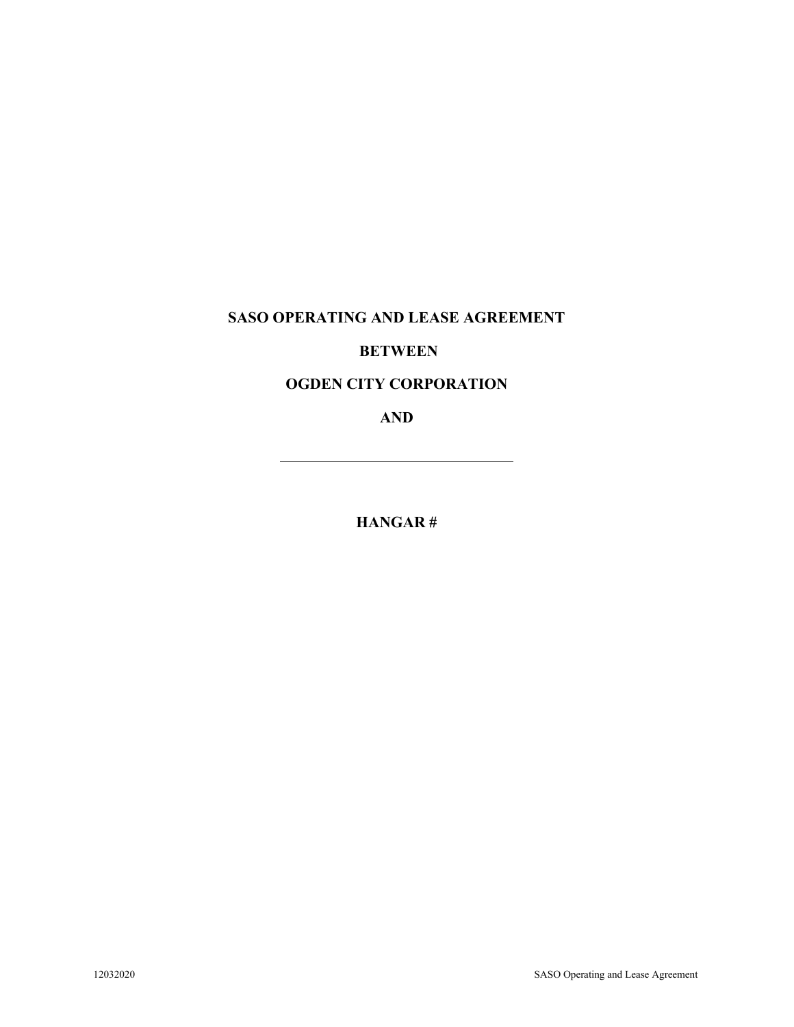# **SASO OPERATING AND LEASE AGREEMENT**

### **BETWEEN**

### **OGDEN CITY CORPORATION**

**AND**

**HANGAR #**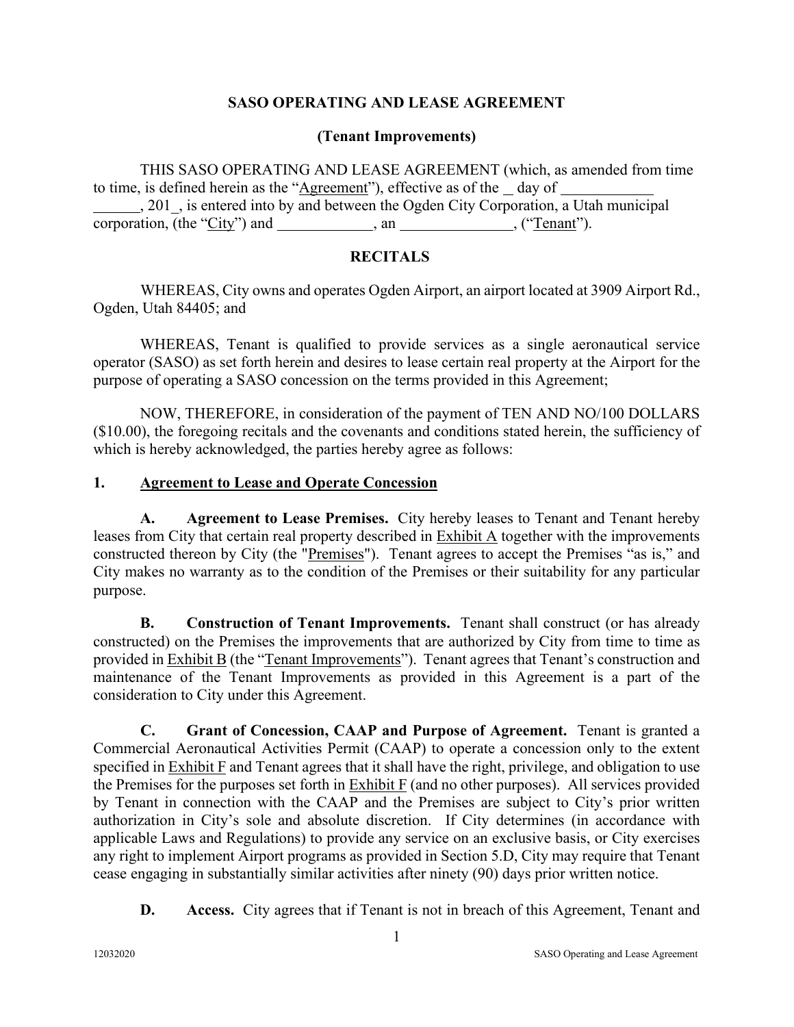#### **SASO OPERATING AND LEASE AGREEMENT**

#### **(Tenant Improvements)**

THIS SASO OPERATING AND LEASE AGREEMENT (which, as amended from time to time, is defined herein as the "Agreement"), effective as of the day of , 201\_, is entered into by and between the Ogden City Corporation, a Utah municipal corporation, (the " $City$ ") and  $\_\_\_\_\_$ , an  $\_\_\_\_\_\_$ , ("Tenant").

#### **RECITALS**

WHEREAS, City owns and operates Ogden Airport, an airport located at 3909 Airport Rd., Ogden, Utah 84405; and

WHEREAS, Tenant is qualified to provide services as a single aeronautical service operator (SASO) as set forth herein and desires to lease certain real property at the Airport for the purpose of operating a SASO concession on the terms provided in this Agreement;

NOW, THEREFORE, in consideration of the payment of TEN AND NO/100 DOLLARS (\$10.00), the foregoing recitals and the covenants and conditions stated herein, the sufficiency of which is hereby acknowledged, the parties hereby agree as follows:

#### **1. Agreement to Lease and Operate Concession**

**A. Agreement to Lease Premises.** City hereby leases to Tenant and Tenant hereby leases from City that certain real property described in Exhibit A together with the improvements constructed thereon by City (the "Premises"). Tenant agrees to accept the Premises "as is," and City makes no warranty as to the condition of the Premises or their suitability for any particular purpose.

**B. Construction of Tenant Improvements.** Tenant shall construct (or has already constructed) on the Premises the improvements that are authorized by City from time to time as provided in Exhibit B (the "Tenant Improvements"). Tenant agrees that Tenant's construction and maintenance of the Tenant Improvements as provided in this Agreement is a part of the consideration to City under this Agreement.

**C. Grant of Concession, CAAP and Purpose of Agreement.** Tenant is granted a Commercial Aeronautical Activities Permit (CAAP) to operate a concession only to the extent specified in Exhibit F and Tenant agrees that it shall have the right, privilege, and obligation to use the Premises for the purposes set forth in  $\overline{\text{Exhibit F}}$  (and no other purposes). All services provided by Tenant in connection with the CAAP and the Premises are subject to City's prior written authorization in City's sole and absolute discretion. If City determines (in accordance with applicable Laws and Regulations) to provide any service on an exclusive basis, or City exercises any right to implement Airport programs as provided in Section 5.D, City may require that Tenant cease engaging in substantially similar activities after ninety (90) days prior written notice.

**D. Access.** City agrees that if Tenant is not in breach of this Agreement, Tenant and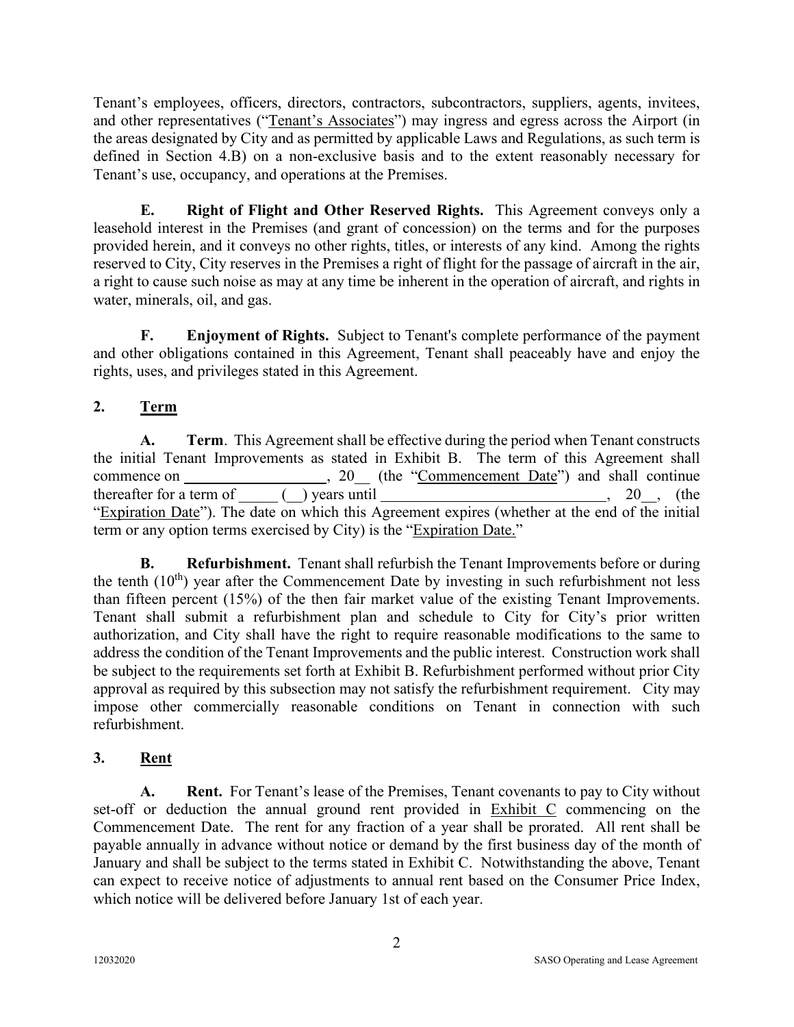Tenant's employees, officers, directors, contractors, subcontractors, suppliers, agents, invitees, and other representatives ("Tenant's Associates") may ingress and egress across the Airport (in the areas designated by City and as permitted by applicable Laws and Regulations, as such term is defined in Section 4.B) on a non-exclusive basis and to the extent reasonably necessary for Tenant's use, occupancy, and operations at the Premises.

**E. Right of Flight and Other Reserved Rights.** This Agreement conveys only a leasehold interest in the Premises (and grant of concession) on the terms and for the purposes provided herein, and it conveys no other rights, titles, or interests of any kind. Among the rights reserved to City, City reserves in the Premises a right of flight for the passage of aircraft in the air, a right to cause such noise as may at any time be inherent in the operation of aircraft, and rights in water, minerals, oil, and gas.

**F. Enjoyment of Rights.** Subject to Tenant's complete performance of the payment and other obligations contained in this Agreement, Tenant shall peaceably have and enjoy the rights, uses, and privileges stated in this Agreement.

### **2. Term**

**A. Term**. This Agreement shall be effective during the period when Tenant constructs the initial Tenant Improvements as stated in Exhibit B. The term of this Agreement shall commence on , 20\_\_ (the "Commencement Date") and shall continue thereafter for a term of  $($ ) years until , 20, (the "Expiration Date"). The date on which this Agreement expires (whether at the end of the initial term or any option terms exercised by City) is the "Expiration Date."

**B. Refurbishment.** Tenant shall refurbish the Tenant Improvements before or during the tenth  $(10<sup>th</sup>)$  year after the Commencement Date by investing in such refurbishment not less than fifteen percent (15%) of the then fair market value of the existing Tenant Improvements. Tenant shall submit a refurbishment plan and schedule to City for City's prior written authorization, and City shall have the right to require reasonable modifications to the same to address the condition of the Tenant Improvements and the public interest. Construction work shall be subject to the requirements set forth at Exhibit B. Refurbishment performed without prior City approval as required by this subsection may not satisfy the refurbishment requirement. City may impose other commercially reasonable conditions on Tenant in connection with such refurbishment.

### **3. Rent**

**A. Rent.** For Tenant's lease of the Premises, Tenant covenants to pay to City without set-off or deduction the annual ground rent provided in Exhibit C commencing on the Commencement Date. The rent for any fraction of a year shall be prorated. All rent shall be payable annually in advance without notice or demand by the first business day of the month of January and shall be subject to the terms stated in Exhibit C. Notwithstanding the above, Tenant can expect to receive notice of adjustments to annual rent based on the Consumer Price Index, which notice will be delivered before January 1st of each year.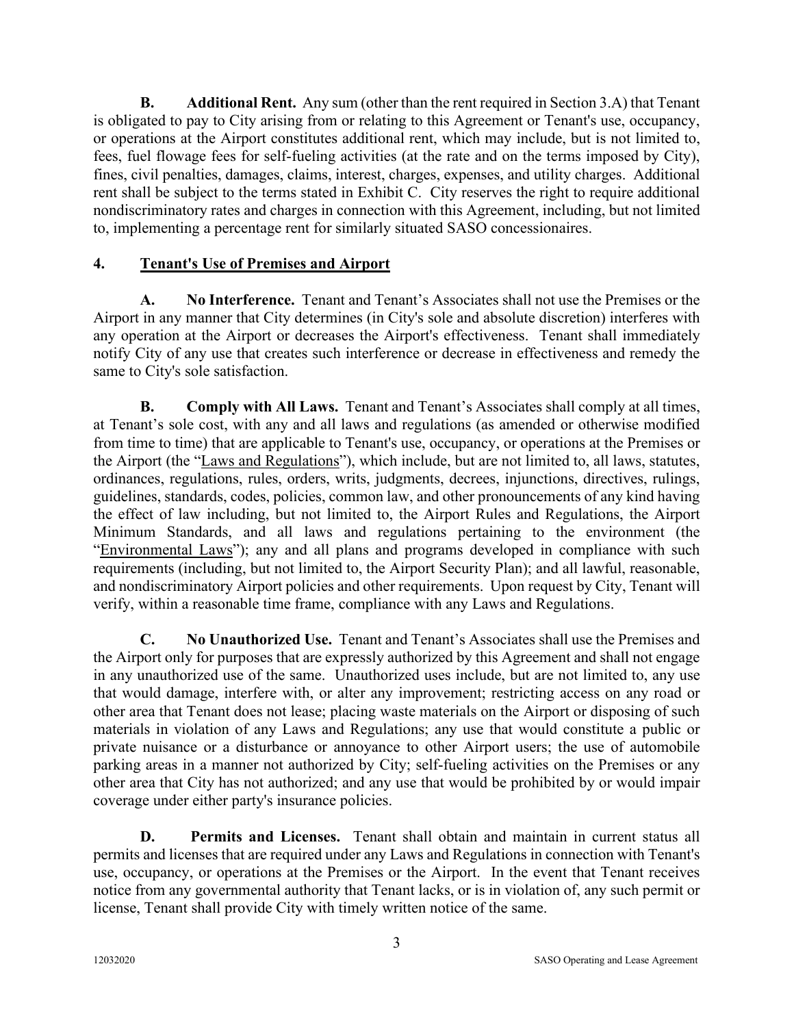**B. Additional Rent.** Any sum (other than the rent required in Section 3.A) that Tenant is obligated to pay to City arising from or relating to this Agreement or Tenant's use, occupancy, or operations at the Airport constitutes additional rent, which may include, but is not limited to, fees, fuel flowage fees for self-fueling activities (at the rate and on the terms imposed by City), fines, civil penalties, damages, claims, interest, charges, expenses, and utility charges. Additional rent shall be subject to the terms stated in Exhibit C. City reserves the right to require additional nondiscriminatory rates and charges in connection with this Agreement, including, but not limited to, implementing a percentage rent for similarly situated SASO concessionaires.

### **4. Tenant's Use of Premises and Airport**

**A. No Interference.** Tenant and Tenant's Associates shall not use the Premises or the Airport in any manner that City determines (in City's sole and absolute discretion) interferes with any operation at the Airport or decreases the Airport's effectiveness. Tenant shall immediately notify City of any use that creates such interference or decrease in effectiveness and remedy the same to City's sole satisfaction.

**B. Comply with All Laws.** Tenant and Tenant's Associates shall comply at all times, at Tenant's sole cost, with any and all laws and regulations (as amended or otherwise modified from time to time) that are applicable to Tenant's use, occupancy, or operations at the Premises or the Airport (the "Laws and Regulations"), which include, but are not limited to, all laws, statutes, ordinances, regulations, rules, orders, writs, judgments, decrees, injunctions, directives, rulings, guidelines, standards, codes, policies, common law, and other pronouncements of any kind having the effect of law including, but not limited to, the Airport Rules and Regulations, the Airport Minimum Standards, and all laws and regulations pertaining to the environment (the "Environmental Laws"); any and all plans and programs developed in compliance with such requirements (including, but not limited to, the Airport Security Plan); and all lawful, reasonable, and nondiscriminatory Airport policies and other requirements. Upon request by City, Tenant will verify, within a reasonable time frame, compliance with any Laws and Regulations.

**C. No Unauthorized Use.** Tenant and Tenant's Associates shall use the Premises and the Airport only for purposes that are expressly authorized by this Agreement and shall not engage in any unauthorized use of the same. Unauthorized uses include, but are not limited to, any use that would damage, interfere with, or alter any improvement; restricting access on any road or other area that Tenant does not lease; placing waste materials on the Airport or disposing of such materials in violation of any Laws and Regulations; any use that would constitute a public or private nuisance or a disturbance or annoyance to other Airport users; the use of automobile parking areas in a manner not authorized by City; self-fueling activities on the Premises or any other area that City has not authorized; and any use that would be prohibited by or would impair coverage under either party's insurance policies.

**D. Permits and Licenses.** Tenant shall obtain and maintain in current status all permits and licenses that are required under any Laws and Regulations in connection with Tenant's use, occupancy, or operations at the Premises or the Airport. In the event that Tenant receives notice from any governmental authority that Tenant lacks, or is in violation of, any such permit or license, Tenant shall provide City with timely written notice of the same.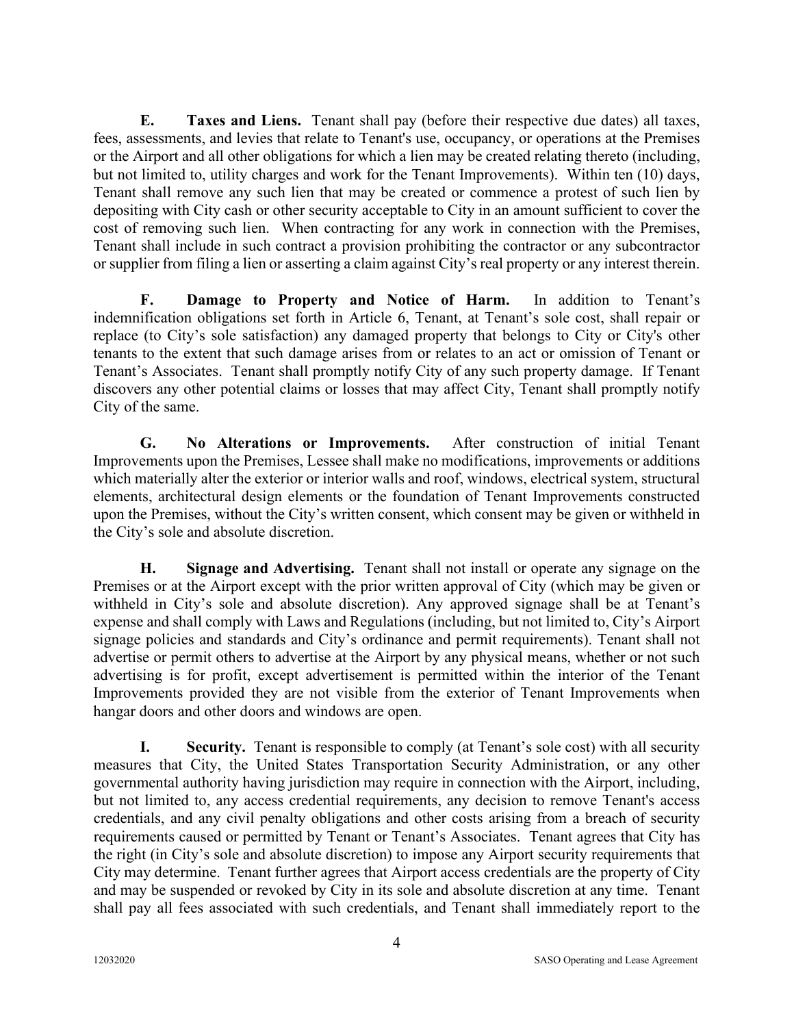**E. Taxes and Liens.** Tenant shall pay (before their respective due dates) all taxes, fees, assessments, and levies that relate to Tenant's use, occupancy, or operations at the Premises or the Airport and all other obligations for which a lien may be created relating thereto (including, but not limited to, utility charges and work for the Tenant Improvements). Within ten (10) days, Tenant shall remove any such lien that may be created or commence a protest of such lien by depositing with City cash or other security acceptable to City in an amount sufficient to cover the cost of removing such lien. When contracting for any work in connection with the Premises, Tenant shall include in such contract a provision prohibiting the contractor or any subcontractor or supplier from filing a lien or asserting a claim against City's real property or any interest therein.

**F. Damage to Property and Notice of Harm.** In addition to Tenant's indemnification obligations set forth in Article 6, Tenant, at Tenant's sole cost, shall repair or replace (to City's sole satisfaction) any damaged property that belongs to City or City's other tenants to the extent that such damage arises from or relates to an act or omission of Tenant or Tenant's Associates. Tenant shall promptly notify City of any such property damage. If Tenant discovers any other potential claims or losses that may affect City, Tenant shall promptly notify City of the same.

**G. No Alterations or Improvements.** After construction of initial Tenant Improvements upon the Premises, Lessee shall make no modifications, improvements or additions which materially alter the exterior or interior walls and roof, windows, electrical system, structural elements, architectural design elements or the foundation of Tenant Improvements constructed upon the Premises, without the City's written consent, which consent may be given or withheld in the City's sole and absolute discretion.

**H. Signage and Advertising.** Tenant shall not install or operate any signage on the Premises or at the Airport except with the prior written approval of City (which may be given or withheld in City's sole and absolute discretion). Any approved signage shall be at Tenant's expense and shall comply with Laws and Regulations (including, but not limited to, City's Airport signage policies and standards and City's ordinance and permit requirements). Tenant shall not advertise or permit others to advertise at the Airport by any physical means, whether or not such advertising is for profit, except advertisement is permitted within the interior of the Tenant Improvements provided they are not visible from the exterior of Tenant Improvements when hangar doors and other doors and windows are open.

**I. Security.** Tenant is responsible to comply (at Tenant's sole cost) with all security measures that City, the United States Transportation Security Administration, or any other governmental authority having jurisdiction may require in connection with the Airport, including, but not limited to, any access credential requirements, any decision to remove Tenant's access credentials, and any civil penalty obligations and other costs arising from a breach of security requirements caused or permitted by Tenant or Tenant's Associates. Tenant agrees that City has the right (in City's sole and absolute discretion) to impose any Airport security requirements that City may determine. Tenant further agrees that Airport access credentials are the property of City and may be suspended or revoked by City in its sole and absolute discretion at any time. Tenant shall pay all fees associated with such credentials, and Tenant shall immediately report to the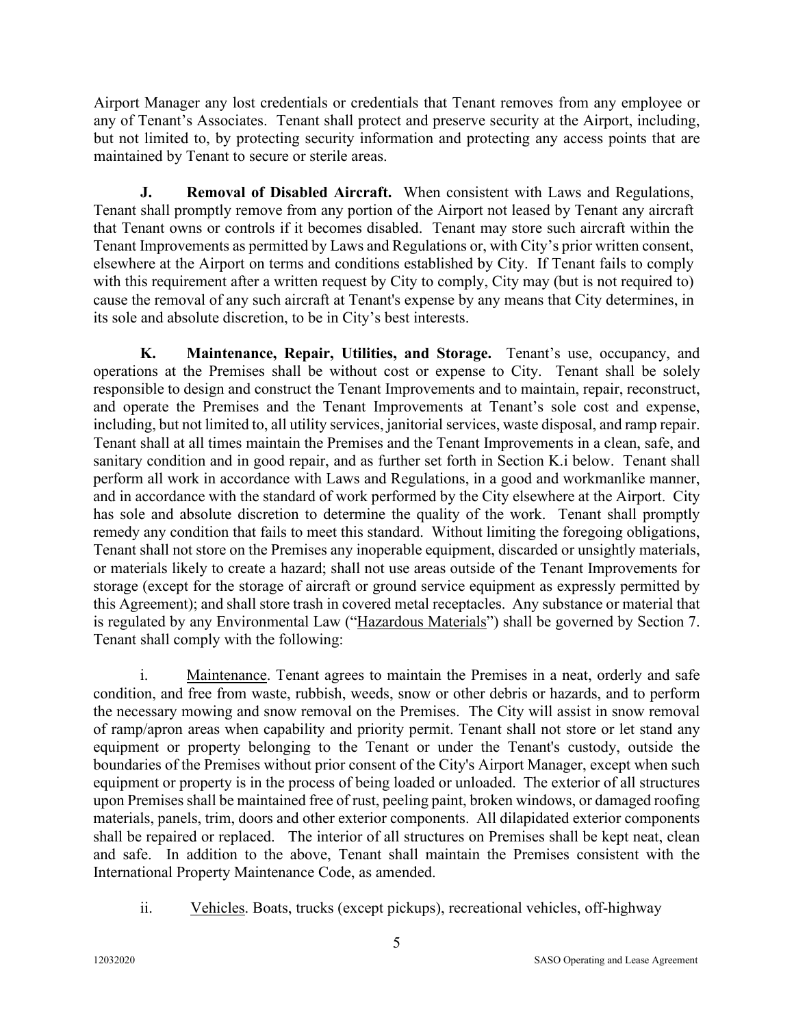Airport Manager any lost credentials or credentials that Tenant removes from any employee or any of Tenant's Associates. Tenant shall protect and preserve security at the Airport, including, but not limited to, by protecting security information and protecting any access points that are maintained by Tenant to secure or sterile areas.

**J. Removal of Disabled Aircraft.** When consistent with Laws and Regulations, Tenant shall promptly remove from any portion of the Airport not leased by Tenant any aircraft that Tenant owns or controls if it becomes disabled. Tenant may store such aircraft within the Tenant Improvements as permitted by Laws and Regulations or, with City's prior written consent, elsewhere at the Airport on terms and conditions established by City. If Tenant fails to comply with this requirement after a written request by City to comply, City may (but is not required to) cause the removal of any such aircraft at Tenant's expense by any means that City determines, in its sole and absolute discretion, to be in City's best interests.

**K. Maintenance, Repair, Utilities, and Storage.** Tenant's use, occupancy, and operations at the Premises shall be without cost or expense to City. Tenant shall be solely responsible to design and construct the Tenant Improvements and to maintain, repair, reconstruct, and operate the Premises and the Tenant Improvements at Tenant's sole cost and expense, including, but not limited to, all utility services, janitorial services, waste disposal, and ramp repair. Tenant shall at all times maintain the Premises and the Tenant Improvements in a clean, safe, and sanitary condition and in good repair, and as further set forth in Section K.i below. Tenant shall perform all work in accordance with Laws and Regulations, in a good and workmanlike manner, and in accordance with the standard of work performed by the City elsewhere at the Airport. City has sole and absolute discretion to determine the quality of the work. Tenant shall promptly remedy any condition that fails to meet this standard. Without limiting the foregoing obligations, Tenant shall not store on the Premises any inoperable equipment, discarded or unsightly materials, or materials likely to create a hazard; shall not use areas outside of the Tenant Improvements for storage (except for the storage of aircraft or ground service equipment as expressly permitted by this Agreement); and shall store trash in covered metal receptacles. Any substance or material that is regulated by any Environmental Law ("Hazardous Materials") shall be governed by Section 7. Tenant shall comply with the following:

i. Maintenance. Tenant agrees to maintain the Premises in a neat, orderly and safe condition, and free from waste, rubbish, weeds, snow or other debris or hazards, and to perform the necessary mowing and snow removal on the Premises. The City will assist in snow removal of ramp/apron areas when capability and priority permit. Tenant shall not store or let stand any equipment or property belonging to the Tenant or under the Tenant's custody, outside the boundaries of the Premises without prior consent of the City's Airport Manager, except when such equipment or property is in the process of being loaded or unloaded. The exterior of all structures upon Premises shall be maintained free of rust, peeling paint, broken windows, or damaged roofing materials, panels, trim, doors and other exterior components. All dilapidated exterior components shall be repaired or replaced. The interior of all structures on Premises shall be kept neat, clean and safe. In addition to the above, Tenant shall maintain the Premises consistent with the International Property Maintenance Code, as amended.

ii. Vehicles. Boats, trucks (except pickups), recreational vehicles, off-highway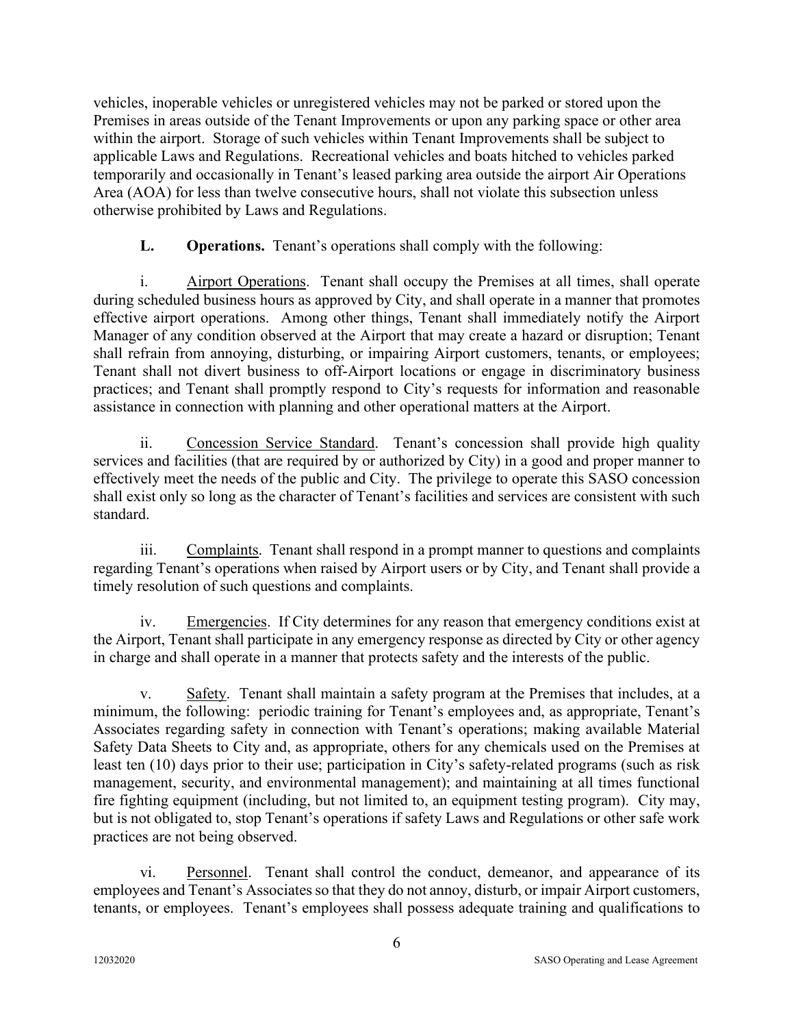vehicles, inoperable vehicles or unregistered vehicles may not be parked or stored upon the Premises in areas outside of the Tenant Improvements or upon any parking space or other area within the airport. Storage of such vehicles within Tenant Improvements shall be subject to applicable Laws and Regulations. Recreational vehicles and boats hitched to vehicles parked temporarily and occasionally in Tenant's leased parking area outside the airport Air Operations Area (AOA) for less than twelve consecutive hours, shall not violate this subsection unless otherwise prohibited by Laws and Regulations.

### **L. Operations.** Tenant's operations shall comply with the following:

i. Airport Operations. Tenant shall occupy the Premises at all times, shall operate during scheduled business hours as approved by City, and shall operate in a manner that promotes effective airport operations. Among other things, Tenant shall immediately notify the Airport Manager of any condition observed at the Airport that may create a hazard or disruption; Tenant shall refrain from annoying, disturbing, or impairing Airport customers, tenants, or employees; Tenant shall not divert business to off-Airport locations or engage in discriminatory business practices; and Tenant shall promptly respond to City's requests for information and reasonable assistance in connection with planning and other operational matters at the Airport.

ii. Concession Service Standard. Tenant's concession shall provide high quality services and facilities (that are required by or authorized by City) in a good and proper manner to effectively meet the needs of the public and City. The privilege to operate this SASO concession shall exist only so long as the character of Tenant's facilities and services are consistent with such standard.

iii. Complaints. Tenant shall respond in a prompt manner to questions and complaints regarding Tenant's operations when raised by Airport users or by City, and Tenant shall provide a timely resolution of such questions and complaints.

iv. Emergencies. If City determines for any reason that emergency conditions exist at the Airport, Tenant shall participate in any emergency response as directed by City or other agency in charge and shall operate in a manner that protects safety and the interests of the public.

v. Safety. Tenant shall maintain a safety program at the Premises that includes, at a minimum, the following: periodic training for Tenant's employees and, as appropriate, Tenant's Associates regarding safety in connection with Tenant's operations; making available Material Safety Data Sheets to City and, as appropriate, others for any chemicals used on the Premises at least ten (10) days prior to their use; participation in City's safety-related programs (such as risk management, security, and environmental management); and maintaining at all times functional fire fighting equipment (including, but not limited to, an equipment testing program). City may, but is not obligated to, stop Tenant's operations if safety Laws and Regulations or other safe work practices are not being observed.

vi. Personnel. Tenant shall control the conduct, demeanor, and appearance of its employees and Tenant's Associates so that they do not annoy, disturb, or impair Airport customers, tenants, or employees. Tenant's employees shall possess adequate training and qualifications to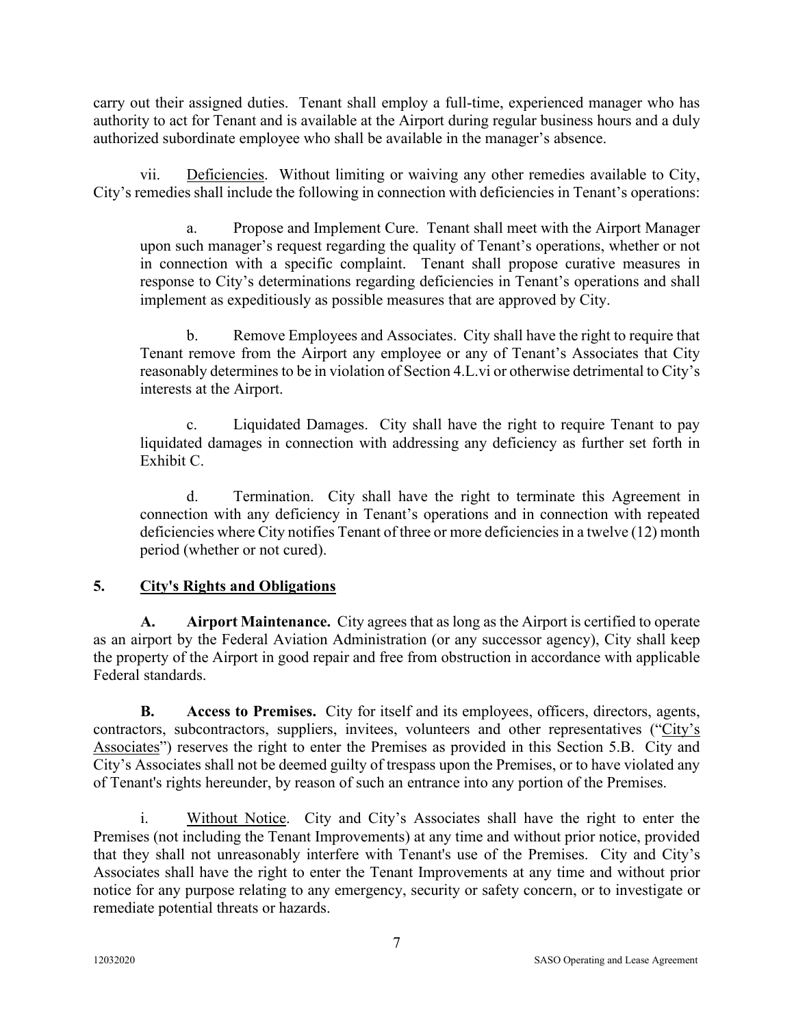carry out their assigned duties. Tenant shall employ a full-time, experienced manager who has authority to act for Tenant and is available at the Airport during regular business hours and a duly authorized subordinate employee who shall be available in the manager's absence.

vii. Deficiencies. Without limiting or waiving any other remedies available to City, City's remedies shall include the following in connection with deficiencies in Tenant's operations:

a. Propose and Implement Cure. Tenant shall meet with the Airport Manager upon such manager's request regarding the quality of Tenant's operations, whether or not in connection with a specific complaint. Tenant shall propose curative measures in response to City's determinations regarding deficiencies in Tenant's operations and shall implement as expeditiously as possible measures that are approved by City.

b. Remove Employees and Associates. City shall have the right to require that Tenant remove from the Airport any employee or any of Tenant's Associates that City reasonably determines to be in violation of Section 4.L.vi or otherwise detrimental to City's interests at the Airport.

c. Liquidated Damages. City shall have the right to require Tenant to pay liquidated damages in connection with addressing any deficiency as further set forth in Exhibit C.

d. Termination. City shall have the right to terminate this Agreement in connection with any deficiency in Tenant's operations and in connection with repeated deficiencies where City notifies Tenant of three or more deficiencies in a twelve (12) month period (whether or not cured).

### **5. City's Rights and Obligations**

**A. Airport Maintenance.** City agrees that as long as the Airport is certified to operate as an airport by the Federal Aviation Administration (or any successor agency), City shall keep the property of the Airport in good repair and free from obstruction in accordance with applicable Federal standards.

**B. Access to Premises.** City for itself and its employees, officers, directors, agents, contractors, subcontractors, suppliers, invitees, volunteers and other representatives ("City's Associates") reserves the right to enter the Premises as provided in this Section 5.B. City and City's Associates shall not be deemed guilty of trespass upon the Premises, or to have violated any of Tenant's rights hereunder, by reason of such an entrance into any portion of the Premises.

i. Without Notice. City and City's Associates shall have the right to enter the Premises (not including the Tenant Improvements) at any time and without prior notice, provided that they shall not unreasonably interfere with Tenant's use of the Premises. City and City's Associates shall have the right to enter the Tenant Improvements at any time and without prior notice for any purpose relating to any emergency, security or safety concern, or to investigate or remediate potential threats or hazards.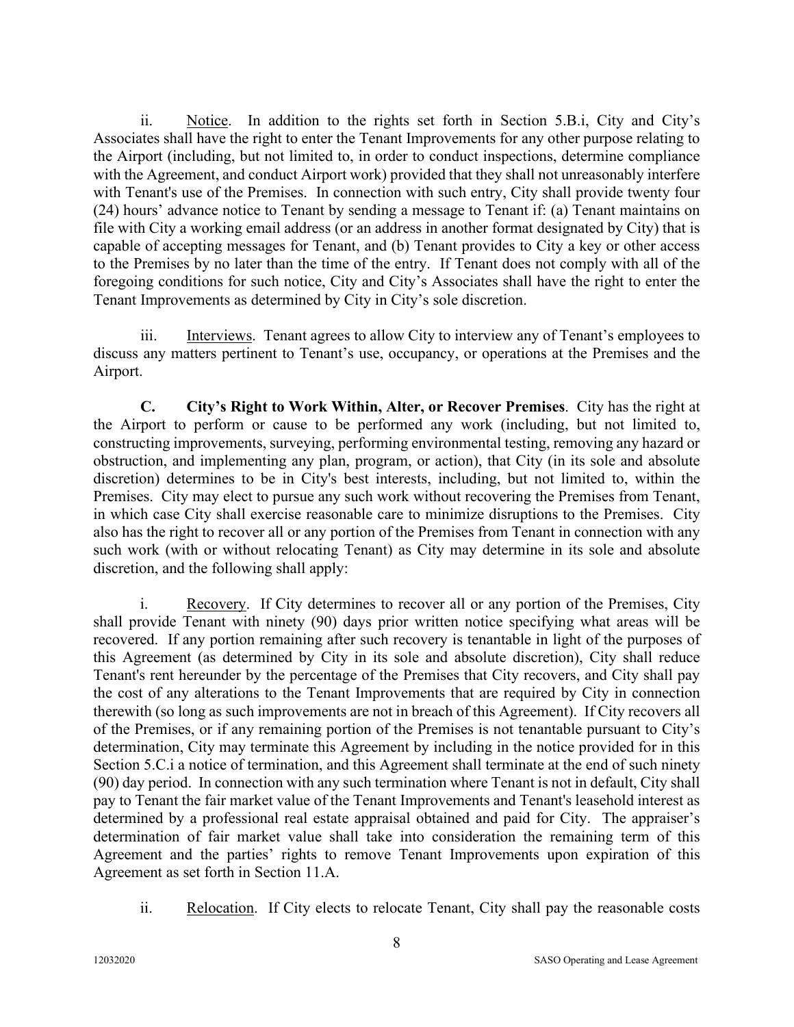ii. Notice. In addition to the rights set forth in Section 5.B.i, City and City's Associates shall have the right to enter the Tenant Improvements for any other purpose relating to the Airport (including, but not limited to, in order to conduct inspections, determine compliance with the Agreement, and conduct Airport work) provided that they shall not unreasonably interfere with Tenant's use of the Premises. In connection with such entry, City shall provide twenty four (24) hours' advance notice to Tenant by sending a message to Tenant if: (a) Tenant maintains on file with City a working email address (or an address in another format designated by City) that is capable of accepting messages for Tenant, and (b) Tenant provides to City a key or other access to the Premises by no later than the time of the entry. If Tenant does not comply with all of the foregoing conditions for such notice, City and City's Associates shall have the right to enter the Tenant Improvements as determined by City in City's sole discretion.

iii. Interviews. Tenant agrees to allow City to interview any of Tenant's employees to discuss any matters pertinent to Tenant's use, occupancy, or operations at the Premises and the Airport.

**C. City's Right to Work Within, Alter, or Recover Premises**. City has the right at the Airport to perform or cause to be performed any work (including, but not limited to, constructing improvements, surveying, performing environmental testing, removing any hazard or obstruction, and implementing any plan, program, or action), that City (in its sole and absolute discretion) determines to be in City's best interests, including, but not limited to, within the Premises. City may elect to pursue any such work without recovering the Premises from Tenant, in which case City shall exercise reasonable care to minimize disruptions to the Premises. City also has the right to recover all or any portion of the Premises from Tenant in connection with any such work (with or without relocating Tenant) as City may determine in its sole and absolute discretion, and the following shall apply:

i. Recovery. If City determines to recover all or any portion of the Premises, City shall provide Tenant with ninety (90) days prior written notice specifying what areas will be recovered. If any portion remaining after such recovery is tenantable in light of the purposes of this Agreement (as determined by City in its sole and absolute discretion), City shall reduce Tenant's rent hereunder by the percentage of the Premises that City recovers, and City shall pay the cost of any alterations to the Tenant Improvements that are required by City in connection therewith (so long as such improvements are not in breach of this Agreement). If City recovers all of the Premises, or if any remaining portion of the Premises is not tenantable pursuant to City's determination, City may terminate this Agreement by including in the notice provided for in this Section 5.C.i a notice of termination, and this Agreement shall terminate at the end of such ninety (90) day period. In connection with any such termination where Tenant is not in default, City shall pay to Tenant the fair market value of the Tenant Improvements and Tenant's leasehold interest as determined by a professional real estate appraisal obtained and paid for City. The appraiser's determination of fair market value shall take into consideration the remaining term of this Agreement and the parties' rights to remove Tenant Improvements upon expiration of this Agreement as set forth in Section 11.A.

ii. Relocation. If City elects to relocate Tenant, City shall pay the reasonable costs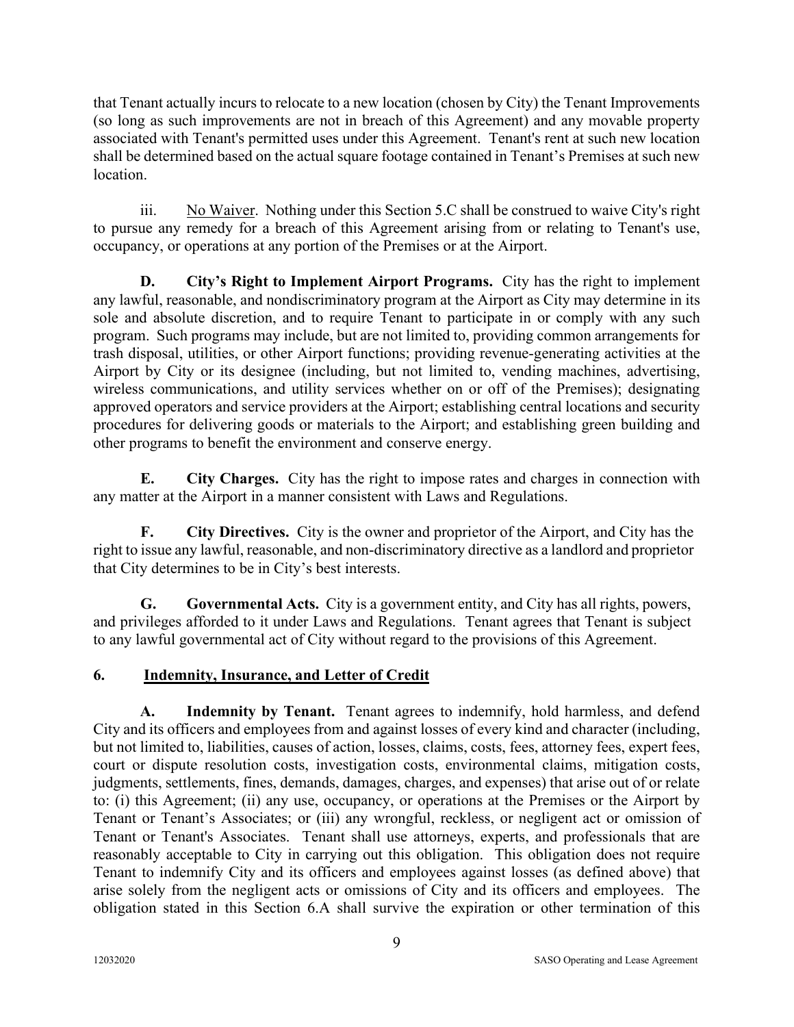that Tenant actually incurs to relocate to a new location (chosen by City) the Tenant Improvements (so long as such improvements are not in breach of this Agreement) and any movable property associated with Tenant's permitted uses under this Agreement. Tenant's rent at such new location shall be determined based on the actual square footage contained in Tenant's Premises at such new location.

iii. No Waiver. Nothing under this Section 5.C shall be construed to waive City's right to pursue any remedy for a breach of this Agreement arising from or relating to Tenant's use, occupancy, or operations at any portion of the Premises or at the Airport.

**D. City's Right to Implement Airport Programs.** City has the right to implement any lawful, reasonable, and nondiscriminatory program at the Airport as City may determine in its sole and absolute discretion, and to require Tenant to participate in or comply with any such program. Such programs may include, but are not limited to, providing common arrangements for trash disposal, utilities, or other Airport functions; providing revenue-generating activities at the Airport by City or its designee (including, but not limited to, vending machines, advertising, wireless communications, and utility services whether on or off of the Premises); designating approved operators and service providers at the Airport; establishing central locations and security procedures for delivering goods or materials to the Airport; and establishing green building and other programs to benefit the environment and conserve energy.

**E. City Charges.** City has the right to impose rates and charges in connection with any matter at the Airport in a manner consistent with Laws and Regulations.

**F. City Directives.** City is the owner and proprietor of the Airport, and City has the right to issue any lawful, reasonable, and non-discriminatory directive as a landlord and proprietor that City determines to be in City's best interests.

**G. Governmental Acts.** City is a government entity, and City has all rights, powers, and privileges afforded to it under Laws and Regulations. Tenant agrees that Tenant is subject to any lawful governmental act of City without regard to the provisions of this Agreement.

### **6. Indemnity, Insurance, and Letter of Credit**

**A. Indemnity by Tenant.** Tenant agrees to indemnify, hold harmless, and defend City and its officers and employees from and against losses of every kind and character (including, but not limited to, liabilities, causes of action, losses, claims, costs, fees, attorney fees, expert fees, court or dispute resolution costs, investigation costs, environmental claims, mitigation costs, judgments, settlements, fines, demands, damages, charges, and expenses) that arise out of or relate to: (i) this Agreement; (ii) any use, occupancy, or operations at the Premises or the Airport by Tenant or Tenant's Associates; or (iii) any wrongful, reckless, or negligent act or omission of Tenant or Tenant's Associates. Tenant shall use attorneys, experts, and professionals that are reasonably acceptable to City in carrying out this obligation. This obligation does not require Tenant to indemnify City and its officers and employees against losses (as defined above) that arise solely from the negligent acts or omissions of City and its officers and employees. The obligation stated in this Section 6.A shall survive the expiration or other termination of this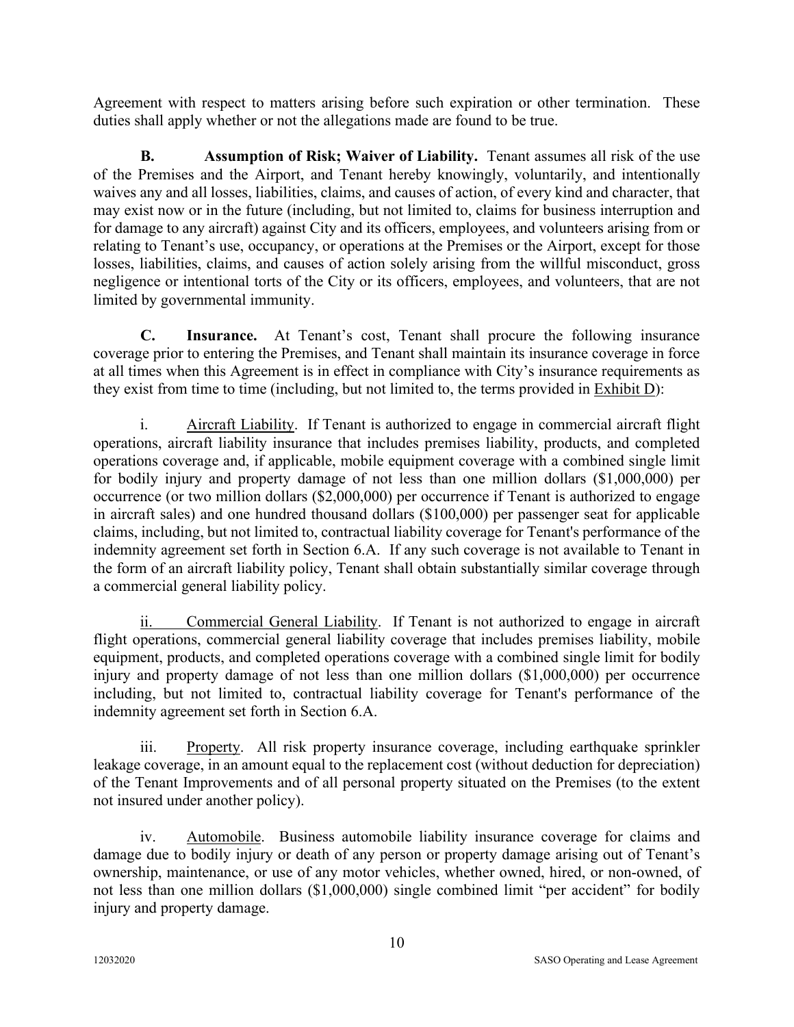Agreement with respect to matters arising before such expiration or other termination. These duties shall apply whether or not the allegations made are found to be true.

**B. Assumption of Risk; Waiver of Liability.** Tenant assumes all risk of the use of the Premises and the Airport, and Tenant hereby knowingly, voluntarily, and intentionally waives any and all losses, liabilities, claims, and causes of action, of every kind and character, that may exist now or in the future (including, but not limited to, claims for business interruption and for damage to any aircraft) against City and its officers, employees, and volunteers arising from or relating to Tenant's use, occupancy, or operations at the Premises or the Airport, except for those losses, liabilities, claims, and causes of action solely arising from the willful misconduct, gross negligence or intentional torts of the City or its officers, employees, and volunteers, that are not limited by governmental immunity.

**C. Insurance.** At Tenant's cost, Tenant shall procure the following insurance coverage prior to entering the Premises, and Tenant shall maintain its insurance coverage in force at all times when this Agreement is in effect in compliance with City's insurance requirements as they exist from time to time (including, but not limited to, the terms provided in Exhibit D):

i. Aircraft Liability. If Tenant is authorized to engage in commercial aircraft flight operations, aircraft liability insurance that includes premises liability, products, and completed operations coverage and, if applicable, mobile equipment coverage with a combined single limit for bodily injury and property damage of not less than one million dollars (\$1,000,000) per occurrence (or two million dollars (\$2,000,000) per occurrence if Tenant is authorized to engage in aircraft sales) and one hundred thousand dollars (\$100,000) per passenger seat for applicable claims, including, but not limited to, contractual liability coverage for Tenant's performance of the indemnity agreement set forth in Section 6.A. If any such coverage is not available to Tenant in the form of an aircraft liability policy, Tenant shall obtain substantially similar coverage through a commercial general liability policy.

ii. Commercial General Liability. If Tenant is not authorized to engage in aircraft flight operations, commercial general liability coverage that includes premises liability, mobile equipment, products, and completed operations coverage with a combined single limit for bodily injury and property damage of not less than one million dollars (\$1,000,000) per occurrence including, but not limited to, contractual liability coverage for Tenant's performance of the indemnity agreement set forth in Section 6.A.

iii. Property. All risk property insurance coverage, including earthquake sprinkler leakage coverage, in an amount equal to the replacement cost (without deduction for depreciation) of the Tenant Improvements and of all personal property situated on the Premises (to the extent not insured under another policy).

iv. Automobile. Business automobile liability insurance coverage for claims and damage due to bodily injury or death of any person or property damage arising out of Tenant's ownership, maintenance, or use of any motor vehicles, whether owned, hired, or non-owned, of not less than one million dollars (\$1,000,000) single combined limit "per accident" for bodily injury and property damage.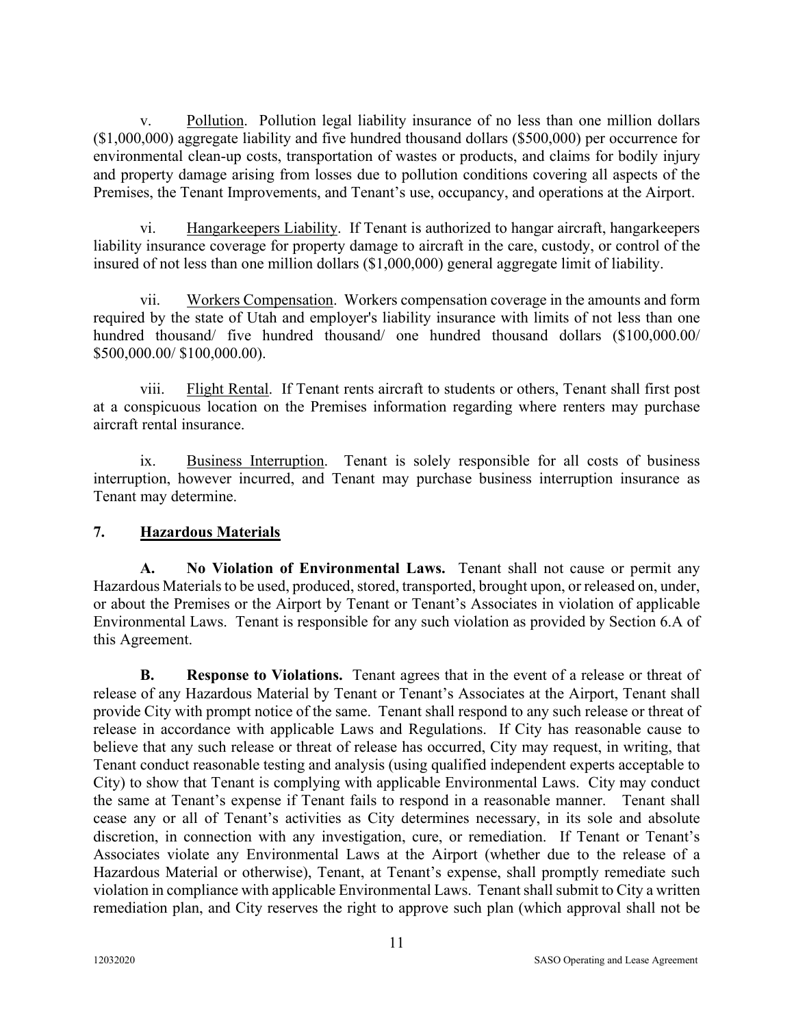v. Pollution. Pollution legal liability insurance of no less than one million dollars (\$1,000,000) aggregate liability and five hundred thousand dollars (\$500,000) per occurrence for environmental clean-up costs, transportation of wastes or products, and claims for bodily injury and property damage arising from losses due to pollution conditions covering all aspects of the Premises, the Tenant Improvements, and Tenant's use, occupancy, and operations at the Airport.

vi. Hangarkeepers Liability. If Tenant is authorized to hangar aircraft, hangarkeepers liability insurance coverage for property damage to aircraft in the care, custody, or control of the insured of not less than one million dollars (\$1,000,000) general aggregate limit of liability.

vii. Workers Compensation. Workers compensation coverage in the amounts and form required by the state of Utah and employer's liability insurance with limits of not less than one hundred thousand/ five hundred thousand/ one hundred thousand dollars (\$100,000.00/ \$500,000.00/ \$100,000.00).

viii. Flight Rental. If Tenant rents aircraft to students or others, Tenant shall first post at a conspicuous location on the Premises information regarding where renters may purchase aircraft rental insurance.

ix. Business Interruption. Tenant is solely responsible for all costs of business interruption, however incurred, and Tenant may purchase business interruption insurance as Tenant may determine.

### **7. Hazardous Materials**

**A. No Violation of Environmental Laws.** Tenant shall not cause or permit any Hazardous Materials to be used, produced, stored, transported, brought upon, or released on, under, or about the Premises or the Airport by Tenant or Tenant's Associates in violation of applicable Environmental Laws. Tenant is responsible for any such violation as provided by Section 6.A of this Agreement.

**B. Response to Violations.** Tenant agrees that in the event of a release or threat of release of any Hazardous Material by Tenant or Tenant's Associates at the Airport, Tenant shall provide City with prompt notice of the same. Tenant shall respond to any such release or threat of release in accordance with applicable Laws and Regulations. If City has reasonable cause to believe that any such release or threat of release has occurred, City may request, in writing, that Tenant conduct reasonable testing and analysis (using qualified independent experts acceptable to City) to show that Tenant is complying with applicable Environmental Laws. City may conduct the same at Tenant's expense if Tenant fails to respond in a reasonable manner. Tenant shall cease any or all of Tenant's activities as City determines necessary, in its sole and absolute discretion, in connection with any investigation, cure, or remediation. If Tenant or Tenant's Associates violate any Environmental Laws at the Airport (whether due to the release of a Hazardous Material or otherwise), Tenant, at Tenant's expense, shall promptly remediate such violation in compliance with applicable Environmental Laws. Tenant shall submit to City a written remediation plan, and City reserves the right to approve such plan (which approval shall not be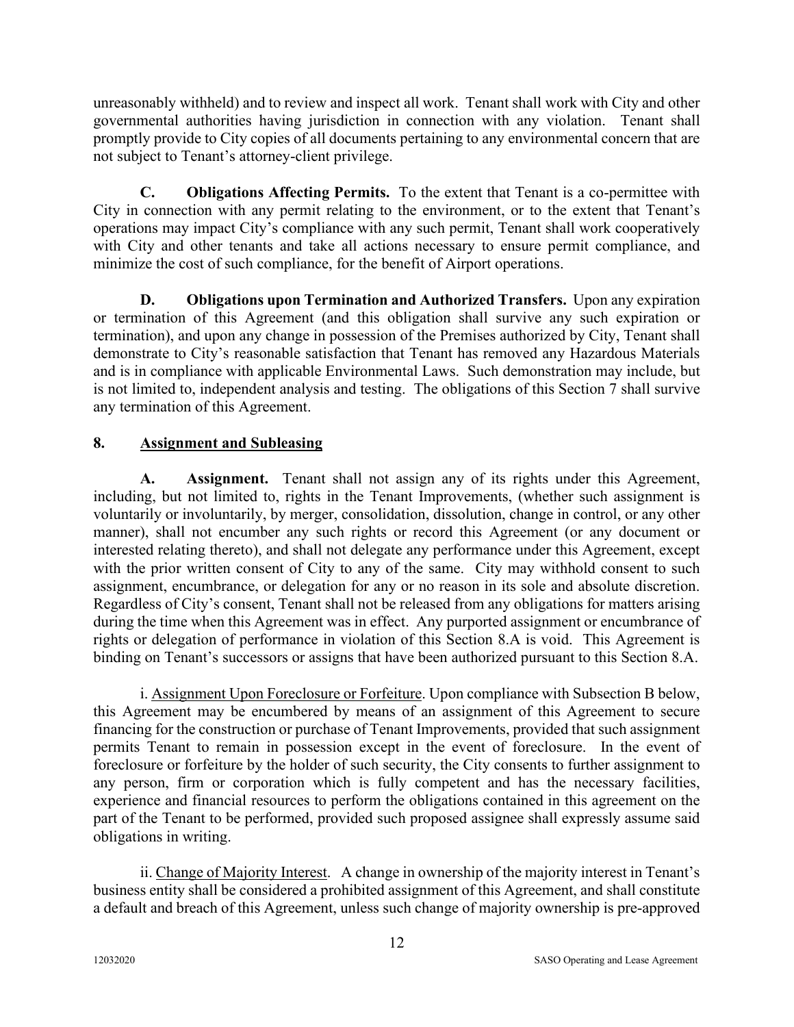unreasonably withheld) and to review and inspect all work. Tenant shall work with City and other governmental authorities having jurisdiction in connection with any violation. Tenant shall promptly provide to City copies of all documents pertaining to any environmental concern that are not subject to Tenant's attorney-client privilege.

**C. Obligations Affecting Permits.** To the extent that Tenant is a co-permittee with City in connection with any permit relating to the environment, or to the extent that Tenant's operations may impact City's compliance with any such permit, Tenant shall work cooperatively with City and other tenants and take all actions necessary to ensure permit compliance, and minimize the cost of such compliance, for the benefit of Airport operations.

**D. Obligations upon Termination and Authorized Transfers.** Upon any expiration or termination of this Agreement (and this obligation shall survive any such expiration or termination), and upon any change in possession of the Premises authorized by City, Tenant shall demonstrate to City's reasonable satisfaction that Tenant has removed any Hazardous Materials and is in compliance with applicable Environmental Laws. Such demonstration may include, but is not limited to, independent analysis and testing. The obligations of this Section 7 shall survive any termination of this Agreement.

### **8. Assignment and Subleasing**

**A. Assignment.** Tenant shall not assign any of its rights under this Agreement, including, but not limited to, rights in the Tenant Improvements, (whether such assignment is voluntarily or involuntarily, by merger, consolidation, dissolution, change in control, or any other manner), shall not encumber any such rights or record this Agreement (or any document or interested relating thereto), and shall not delegate any performance under this Agreement, except with the prior written consent of City to any of the same. City may withhold consent to such assignment, encumbrance, or delegation for any or no reason in its sole and absolute discretion. Regardless of City's consent, Tenant shall not be released from any obligations for matters arising during the time when this Agreement was in effect. Any purported assignment or encumbrance of rights or delegation of performance in violation of this Section 8.A is void. This Agreement is binding on Tenant's successors or assigns that have been authorized pursuant to this Section 8.A.

i. Assignment Upon Foreclosure or Forfeiture. Upon compliance with Subsection B below, this Agreement may be encumbered by means of an assignment of this Agreement to secure financing for the construction or purchase of Tenant Improvements, provided that such assignment permits Tenant to remain in possession except in the event of foreclosure. In the event of foreclosure or forfeiture by the holder of such security, the City consents to further assignment to any person, firm or corporation which is fully competent and has the necessary facilities, experience and financial resources to perform the obligations contained in this agreement on the part of the Tenant to be performed, provided such proposed assignee shall expressly assume said obligations in writing.

ii. Change of Majority Interest. A change in ownership of the majority interest in Tenant's business entity shall be considered a prohibited assignment of this Agreement, and shall constitute a default and breach of this Agreement, unless such change of majority ownership is pre-approved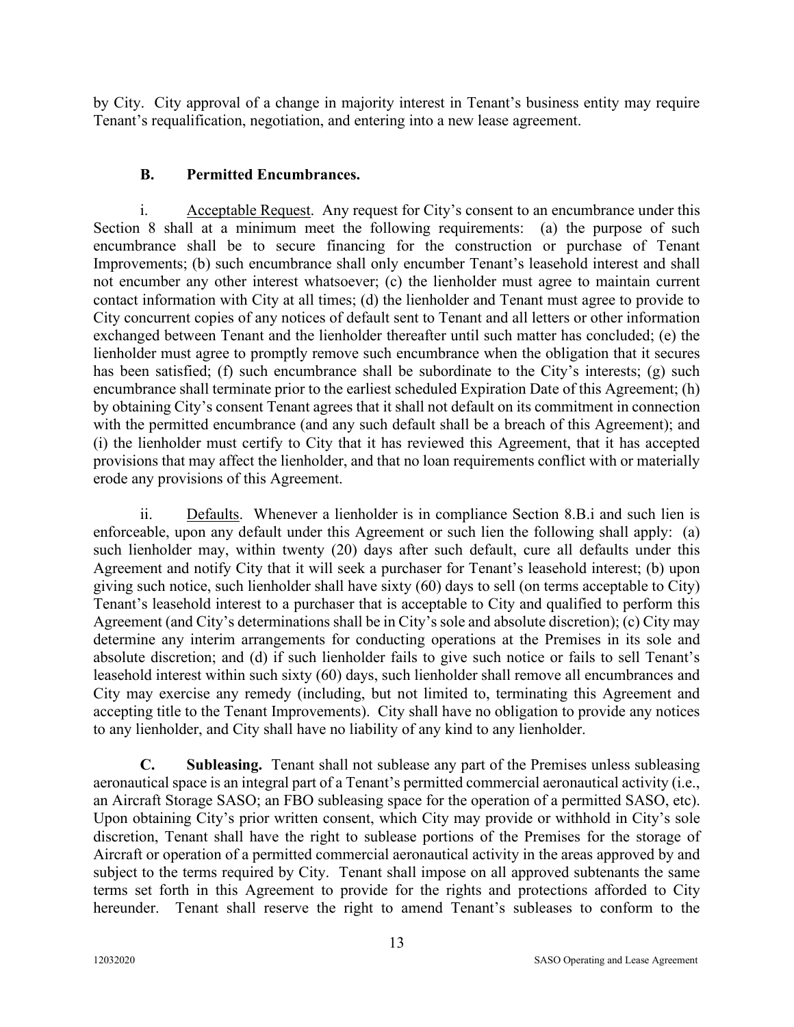by City. City approval of a change in majority interest in Tenant's business entity may require Tenant's requalification, negotiation, and entering into a new lease agreement.

### **B. Permitted Encumbrances.**

i. Acceptable Request. Any request for City's consent to an encumbrance under this Section 8 shall at a minimum meet the following requirements: (a) the purpose of such encumbrance shall be to secure financing for the construction or purchase of Tenant Improvements; (b) such encumbrance shall only encumber Tenant's leasehold interest and shall not encumber any other interest whatsoever; (c) the lienholder must agree to maintain current contact information with City at all times; (d) the lienholder and Tenant must agree to provide to City concurrent copies of any notices of default sent to Tenant and all letters or other information exchanged between Tenant and the lienholder thereafter until such matter has concluded; (e) the lienholder must agree to promptly remove such encumbrance when the obligation that it secures has been satisfied; (f) such encumbrance shall be subordinate to the City's interests; (g) such encumbrance shall terminate prior to the earliest scheduled Expiration Date of this Agreement; (h) by obtaining City's consent Tenant agrees that it shall not default on its commitment in connection with the permitted encumbrance (and any such default shall be a breach of this Agreement); and (i) the lienholder must certify to City that it has reviewed this Agreement, that it has accepted provisions that may affect the lienholder, and that no loan requirements conflict with or materially erode any provisions of this Agreement.

ii. Defaults. Whenever a lienholder is in compliance Section 8.B.i and such lien is enforceable, upon any default under this Agreement or such lien the following shall apply: (a) such lienholder may, within twenty (20) days after such default, cure all defaults under this Agreement and notify City that it will seek a purchaser for Tenant's leasehold interest; (b) upon giving such notice, such lienholder shall have sixty (60) days to sell (on terms acceptable to City) Tenant's leasehold interest to a purchaser that is acceptable to City and qualified to perform this Agreement (and City's determinations shall be in City's sole and absolute discretion); (c) City may determine any interim arrangements for conducting operations at the Premises in its sole and absolute discretion; and (d) if such lienholder fails to give such notice or fails to sell Tenant's leasehold interest within such sixty (60) days, such lienholder shall remove all encumbrances and City may exercise any remedy (including, but not limited to, terminating this Agreement and accepting title to the Tenant Improvements). City shall have no obligation to provide any notices to any lienholder, and City shall have no liability of any kind to any lienholder.

**C. Subleasing.** Tenant shall not sublease any part of the Premises unless subleasing aeronautical space is an integral part of a Tenant's permitted commercial aeronautical activity (i.e., an Aircraft Storage SASO; an FBO subleasing space for the operation of a permitted SASO, etc). Upon obtaining City's prior written consent, which City may provide or withhold in City's sole discretion, Tenant shall have the right to sublease portions of the Premises for the storage of Aircraft or operation of a permitted commercial aeronautical activity in the areas approved by and subject to the terms required by City. Tenant shall impose on all approved subtenants the same terms set forth in this Agreement to provide for the rights and protections afforded to City hereunder. Tenant shall reserve the right to amend Tenant's subleases to conform to the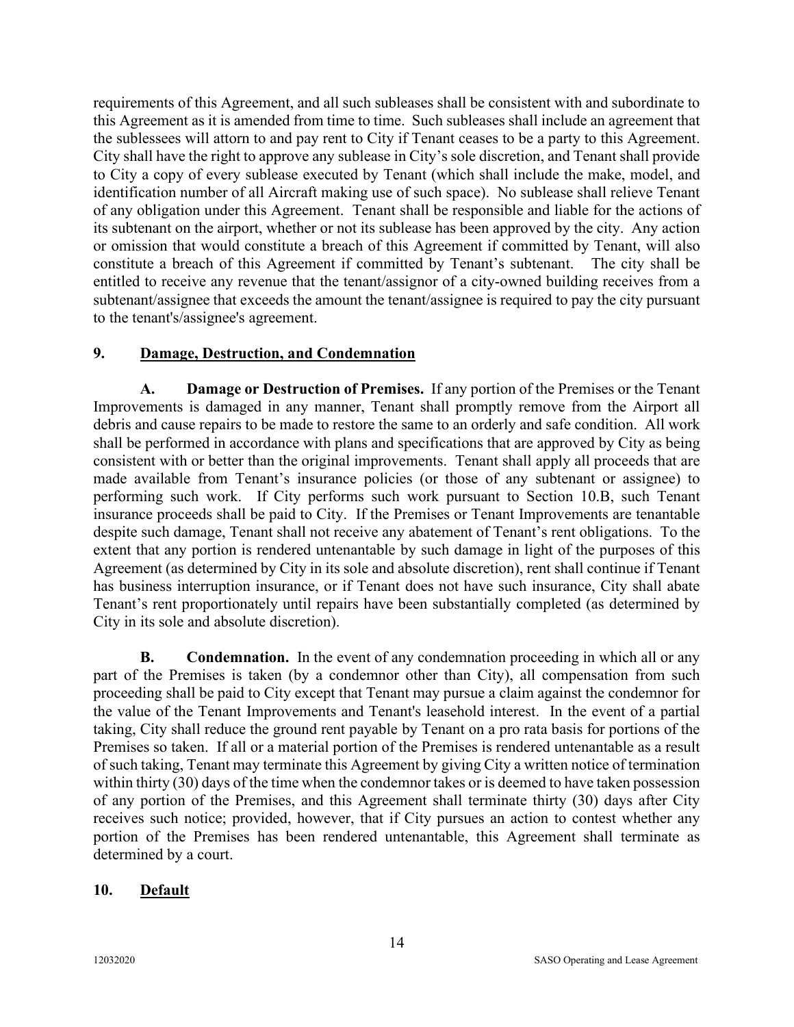requirements of this Agreement, and all such subleases shall be consistent with and subordinate to this Agreement as it is amended from time to time. Such subleases shall include an agreement that the sublessees will attorn to and pay rent to City if Tenant ceases to be a party to this Agreement. City shall have the right to approve any sublease in City's sole discretion, and Tenant shall provide to City a copy of every sublease executed by Tenant (which shall include the make, model, and identification number of all Aircraft making use of such space). No sublease shall relieve Tenant of any obligation under this Agreement. Tenant shall be responsible and liable for the actions of its subtenant on the airport, whether or not its sublease has been approved by the city. Any action or omission that would constitute a breach of this Agreement if committed by Tenant, will also constitute a breach of this Agreement if committed by Tenant's subtenant. The city shall be entitled to receive any revenue that the tenant/assignor of a city-owned building receives from a subtenant/assignee that exceeds the amount the tenant/assignee is required to pay the city pursuant to the tenant's/assignee's agreement.

#### **9. Damage, Destruction, and Condemnation**

**A. Damage or Destruction of Premises.** If any portion of the Premises or the Tenant Improvements is damaged in any manner, Tenant shall promptly remove from the Airport all debris and cause repairs to be made to restore the same to an orderly and safe condition. All work shall be performed in accordance with plans and specifications that are approved by City as being consistent with or better than the original improvements. Tenant shall apply all proceeds that are made available from Tenant's insurance policies (or those of any subtenant or assignee) to performing such work. If City performs such work pursuant to Section 10.B, such Tenant insurance proceeds shall be paid to City. If the Premises or Tenant Improvements are tenantable despite such damage, Tenant shall not receive any abatement of Tenant's rent obligations. To the extent that any portion is rendered untenantable by such damage in light of the purposes of this Agreement (as determined by City in its sole and absolute discretion), rent shall continue if Tenant has business interruption insurance, or if Tenant does not have such insurance, City shall abate Tenant's rent proportionately until repairs have been substantially completed (as determined by City in its sole and absolute discretion).

**B.** Condemnation. In the event of any condemnation proceeding in which all or any part of the Premises is taken (by a condemnor other than City), all compensation from such proceeding shall be paid to City except that Tenant may pursue a claim against the condemnor for the value of the Tenant Improvements and Tenant's leasehold interest. In the event of a partial taking, City shall reduce the ground rent payable by Tenant on a pro rata basis for portions of the Premises so taken. If all or a material portion of the Premises is rendered untenantable as a result of such taking, Tenant may terminate this Agreement by giving City a written notice of termination within thirty (30) days of the time when the condemnor takes or is deemed to have taken possession of any portion of the Premises, and this Agreement shall terminate thirty (30) days after City receives such notice; provided, however, that if City pursues an action to contest whether any portion of the Premises has been rendered untenantable, this Agreement shall terminate as determined by a court.

#### **10. Default**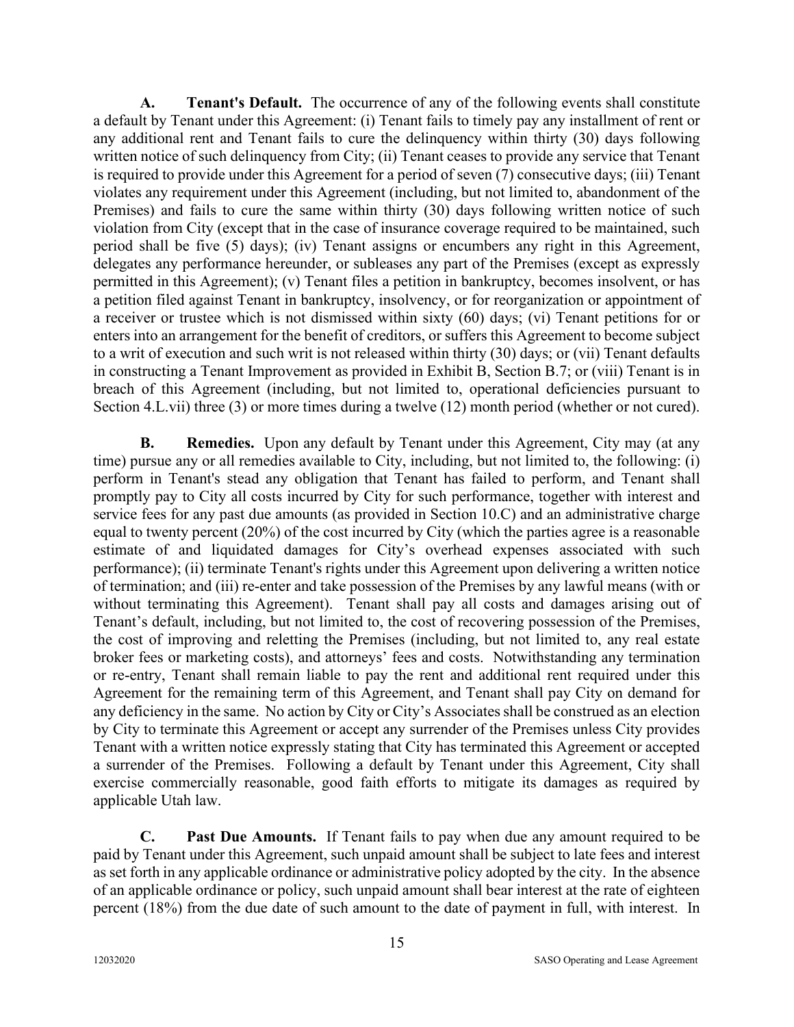**A. Tenant's Default.** The occurrence of any of the following events shall constitute a default by Tenant under this Agreement: (i) Tenant fails to timely pay any installment of rent or any additional rent and Tenant fails to cure the delinquency within thirty (30) days following written notice of such delinquency from City; (ii) Tenant ceases to provide any service that Tenant is required to provide under this Agreement for a period of seven (7) consecutive days; (iii) Tenant violates any requirement under this Agreement (including, but not limited to, abandonment of the Premises) and fails to cure the same within thirty (30) days following written notice of such violation from City (except that in the case of insurance coverage required to be maintained, such period shall be five (5) days); (iv) Tenant assigns or encumbers any right in this Agreement, delegates any performance hereunder, or subleases any part of the Premises (except as expressly permitted in this Agreement); (v) Tenant files a petition in bankruptcy, becomes insolvent, or has a petition filed against Tenant in bankruptcy, insolvency, or for reorganization or appointment of a receiver or trustee which is not dismissed within sixty (60) days; (vi) Tenant petitions for or enters into an arrangement for the benefit of creditors, or suffers this Agreement to become subject to a writ of execution and such writ is not released within thirty (30) days; or (vii) Tenant defaults in constructing a Tenant Improvement as provided in Exhibit B, Section B.7; or (viii) Tenant is in breach of this Agreement (including, but not limited to, operational deficiencies pursuant to Section 4.L.vii) three (3) or more times during a twelve (12) month period (whether or not cured).

**B.** Remedies. Upon any default by Tenant under this Agreement, City may (at any time) pursue any or all remedies available to City, including, but not limited to, the following: (i) perform in Tenant's stead any obligation that Tenant has failed to perform, and Tenant shall promptly pay to City all costs incurred by City for such performance, together with interest and service fees for any past due amounts (as provided in Section 10.C) and an administrative charge equal to twenty percent (20%) of the cost incurred by City (which the parties agree is a reasonable estimate of and liquidated damages for City's overhead expenses associated with such performance); (ii) terminate Tenant's rights under this Agreement upon delivering a written notice of termination; and (iii) re-enter and take possession of the Premises by any lawful means (with or without terminating this Agreement). Tenant shall pay all costs and damages arising out of Tenant's default, including, but not limited to, the cost of recovering possession of the Premises, the cost of improving and reletting the Premises (including, but not limited to, any real estate broker fees or marketing costs), and attorneys' fees and costs. Notwithstanding any termination or re-entry, Tenant shall remain liable to pay the rent and additional rent required under this Agreement for the remaining term of this Agreement, and Tenant shall pay City on demand for any deficiency in the same. No action by City or City's Associates shall be construed as an election by City to terminate this Agreement or accept any surrender of the Premises unless City provides Tenant with a written notice expressly stating that City has terminated this Agreement or accepted a surrender of the Premises. Following a default by Tenant under this Agreement, City shall exercise commercially reasonable, good faith efforts to mitigate its damages as required by applicable Utah law.

**C. Past Due Amounts.** If Tenant fails to pay when due any amount required to be paid by Tenant under this Agreement, such unpaid amount shall be subject to late fees and interest as set forth in any applicable ordinance or administrative policy adopted by the city. In the absence of an applicable ordinance or policy, such unpaid amount shall bear interest at the rate of eighteen percent (18%) from the due date of such amount to the date of payment in full, with interest. In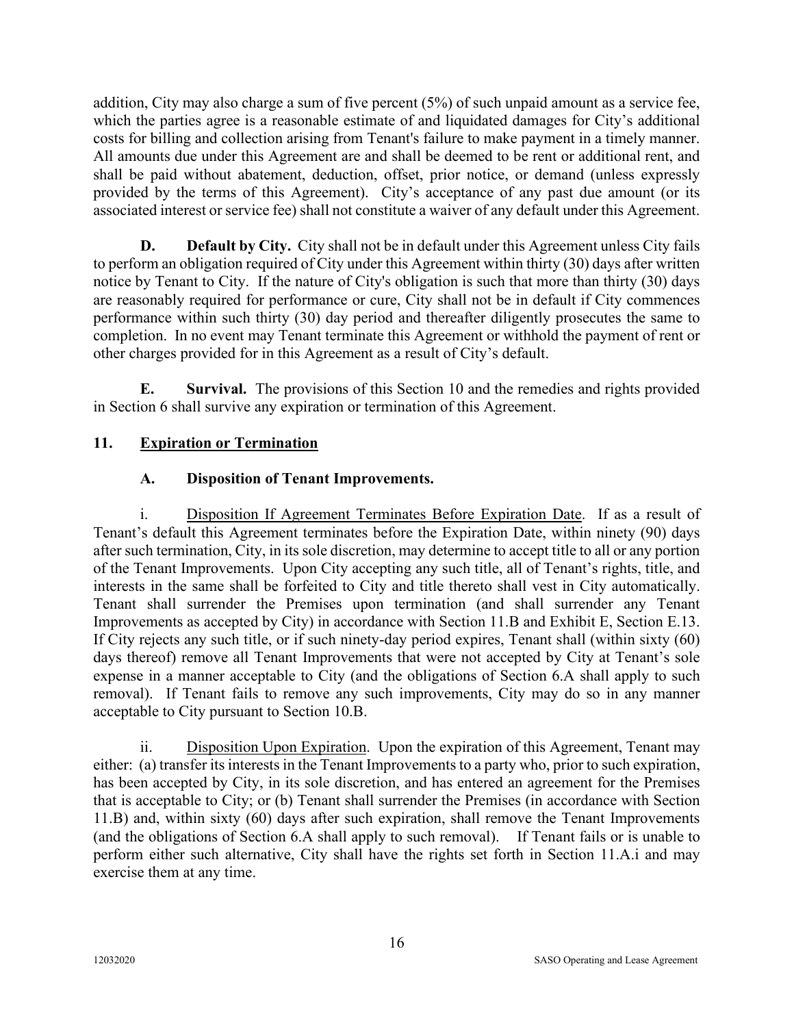addition, City may also charge a sum of five percent (5%) of such unpaid amount as a service fee, which the parties agree is a reasonable estimate of and liquidated damages for City's additional costs for billing and collection arising from Tenant's failure to make payment in a timely manner. All amounts due under this Agreement are and shall be deemed to be rent or additional rent, and shall be paid without abatement, deduction, offset, prior notice, or demand (unless expressly provided by the terms of this Agreement). City's acceptance of any past due amount (or its associated interest or service fee) shall not constitute a waiver of any default under this Agreement.

**D. Default by City.** City shall not be in default under this Agreement unless City fails to perform an obligation required of City under this Agreement within thirty (30) days after written notice by Tenant to City. If the nature of City's obligation is such that more than thirty (30) days are reasonably required for performance or cure, City shall not be in default if City commences performance within such thirty (30) day period and thereafter diligently prosecutes the same to completion. In no event may Tenant terminate this Agreement or withhold the payment of rent or other charges provided for in this Agreement as a result of City's default.

**E. Survival.** The provisions of this Section 10 and the remedies and rights provided in Section 6 shall survive any expiration or termination of this Agreement.

### **11. Expiration or Termination**

### **A. Disposition of Tenant Improvements.**

i. Disposition If Agreement Terminates Before Expiration Date. If as a result of Tenant's default this Agreement terminates before the Expiration Date, within ninety (90) days after such termination, City, in its sole discretion, may determine to accept title to all or any portion of the Tenant Improvements. Upon City accepting any such title, all of Tenant's rights, title, and interests in the same shall be forfeited to City and title thereto shall vest in City automatically. Tenant shall surrender the Premises upon termination (and shall surrender any Tenant Improvements as accepted by City) in accordance with Section 11.B and Exhibit E, Section E.13. If City rejects any such title, or if such ninety-day period expires, Tenant shall (within sixty (60) days thereof) remove all Tenant Improvements that were not accepted by City at Tenant's sole expense in a manner acceptable to City (and the obligations of Section 6.A shall apply to such removal). If Tenant fails to remove any such improvements, City may do so in any manner acceptable to City pursuant to Section 10.B.

ii. Disposition Upon Expiration. Upon the expiration of this Agreement, Tenant may either: (a) transfer its interests in the Tenant Improvements to a party who, prior to such expiration, has been accepted by City, in its sole discretion, and has entered an agreement for the Premises that is acceptable to City; or (b) Tenant shall surrender the Premises (in accordance with Section 11.B) and, within sixty (60) days after such expiration, shall remove the Tenant Improvements (and the obligations of Section 6.A shall apply to such removal). If Tenant fails or is unable to perform either such alternative, City shall have the rights set forth in Section 11.A.i and may exercise them at any time.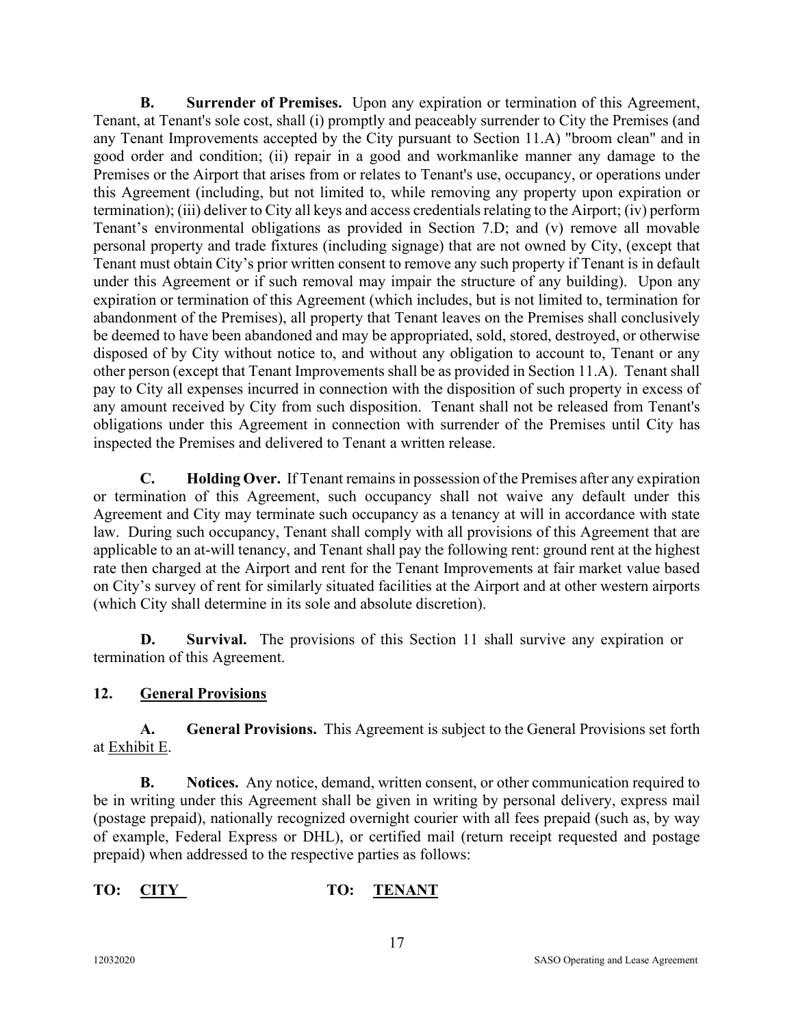**B. Surrender of Premises.** Upon any expiration or termination of this Agreement, Tenant, at Tenant's sole cost, shall (i) promptly and peaceably surrender to City the Premises (and any Tenant Improvements accepted by the City pursuant to Section 11.A) "broom clean" and in good order and condition; (ii) repair in a good and workmanlike manner any damage to the Premises or the Airport that arises from or relates to Tenant's use, occupancy, or operations under this Agreement (including, but not limited to, while removing any property upon expiration or termination); (iii) deliver to City all keys and access credentials relating to the Airport; (iv) perform Tenant's environmental obligations as provided in Section 7.D; and (v) remove all movable personal property and trade fixtures (including signage) that are not owned by City, (except that Tenant must obtain City's prior written consent to remove any such property if Tenant is in default under this Agreement or if such removal may impair the structure of any building). Upon any expiration or termination of this Agreement (which includes, but is not limited to, termination for abandonment of the Premises), all property that Tenant leaves on the Premises shall conclusively be deemed to have been abandoned and may be appropriated, sold, stored, destroyed, or otherwise disposed of by City without notice to, and without any obligation to account to, Tenant or any other person (except that Tenant Improvements shall be as provided in Section 11.A). Tenant shall pay to City all expenses incurred in connection with the disposition of such property in excess of any amount received by City from such disposition. Tenant shall not be released from Tenant's obligations under this Agreement in connection with surrender of the Premises until City has inspected the Premises and delivered to Tenant a written release.

**C. Holding Over.** If Tenant remains in possession of the Premises after any expiration or termination of this Agreement, such occupancy shall not waive any default under this Agreement and City may terminate such occupancy as a tenancy at will in accordance with state law. During such occupancy, Tenant shall comply with all provisions of this Agreement that are applicable to an at-will tenancy, and Tenant shall pay the following rent: ground rent at the highest rate then charged at the Airport and rent for the Tenant Improvements at fair market value based on City's survey of rent for similarly situated facilities at the Airport and at other western airports (which City shall determine in its sole and absolute discretion).

**D. Survival.** The provisions of this Section 11 shall survive any expiration or termination of this Agreement.

### **12. General Provisions**

**A. General Provisions.** This Agreement is subject to the General Provisions set forth at Exhibit E.

**B. Notices.** Any notice, demand, written consent, or other communication required to be in writing under this Agreement shall be given in writing by personal delivery, express mail (postage prepaid), nationally recognized overnight courier with all fees prepaid (such as, by way of example, Federal Express or DHL), or certified mail (return receipt requested and postage prepaid) when addressed to the respective parties as follows:

### **TO: CITY TO: TENANT**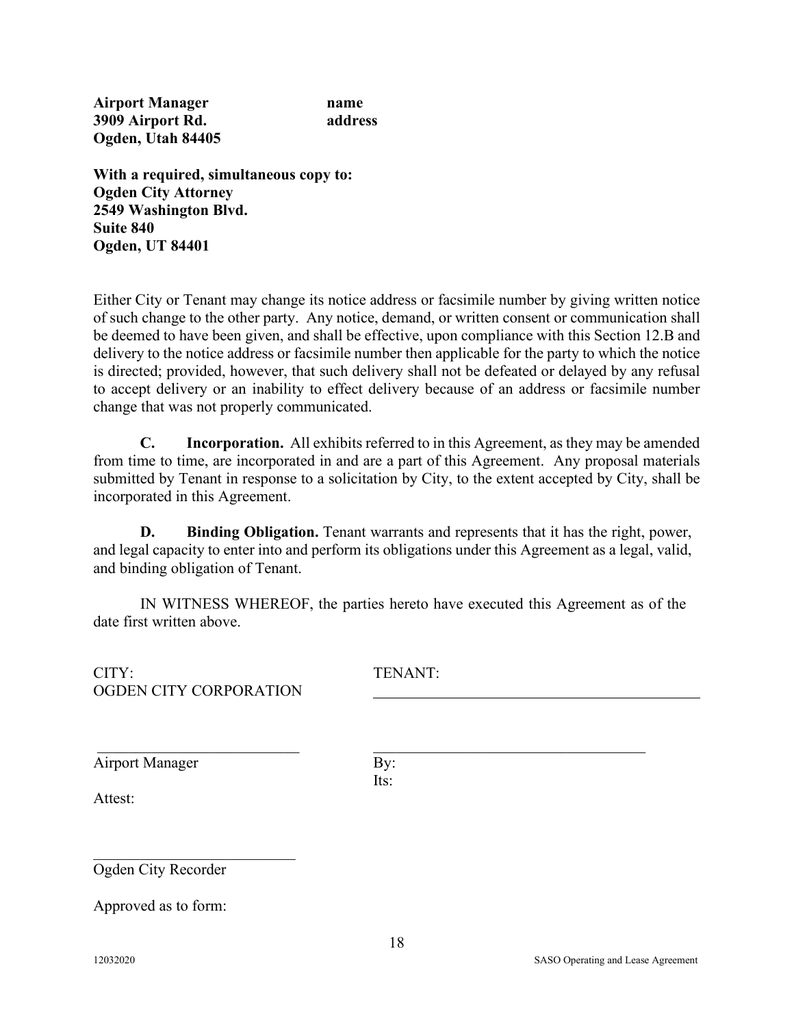**Airport Manager name 3909 Airport Rd. address Ogden, Utah 84405**

**With a required, simultaneous copy to: Ogden City Attorney 2549 Washington Blvd. Suite 840 Ogden, UT 84401**

Either City or Tenant may change its notice address or facsimile number by giving written notice of such change to the other party. Any notice, demand, or written consent or communication shall be deemed to have been given, and shall be effective, upon compliance with this Section 12.B and delivery to the notice address or facsimile number then applicable for the party to which the notice is directed; provided, however, that such delivery shall not be defeated or delayed by any refusal to accept delivery or an inability to effect delivery because of an address or facsimile number change that was not properly communicated.

**C. Incorporation.** All exhibits referred to in this Agreement, as they may be amended from time to time, are incorporated in and are a part of this Agreement. Any proposal materials submitted by Tenant in response to a solicitation by City, to the extent accepted by City, shall be incorporated in this Agreement.

**D. Binding Obligation.** Tenant warrants and represents that it has the right, power, and legal capacity to enter into and perform its obligations under this Agreement as a legal, valid, and binding obligation of Tenant.

IN WITNESS WHEREOF, the parties hereto have executed this Agreement as of the date first written above.

| CITY:<br>OGDEN CITY CORPORATION | TENANT:     |  |
|---------------------------------|-------------|--|
| <b>Airport Manager</b>          | By:<br>Its: |  |
| Attest:                         |             |  |
| Ogden City Recorder             |             |  |
| Approved as to form:            |             |  |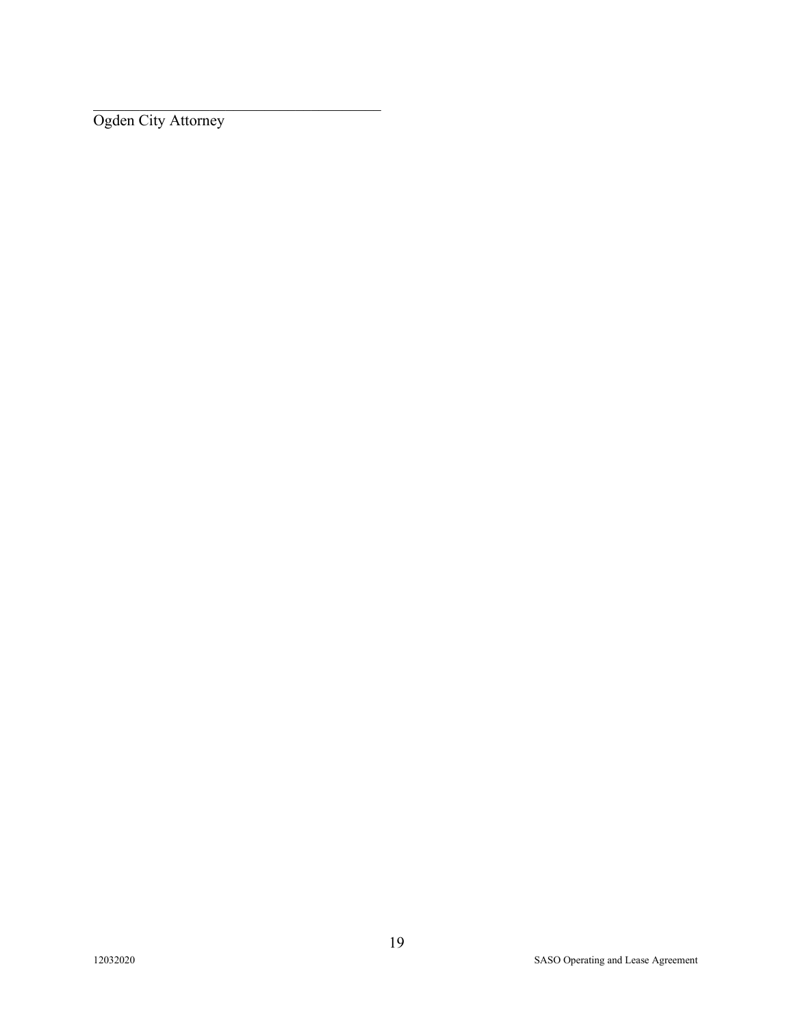Ogden City Attorney

\_\_\_\_\_\_\_\_\_\_\_\_\_\_\_\_\_\_\_\_\_\_\_\_\_\_\_\_\_\_\_\_\_\_\_\_\_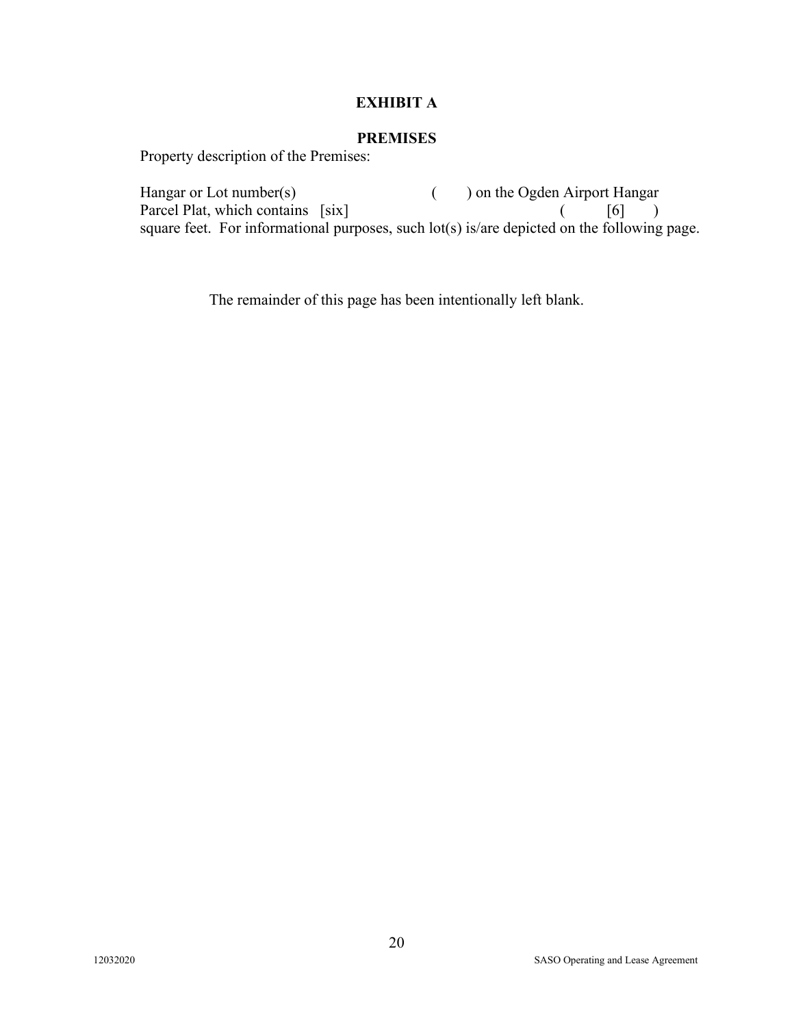### **EXHIBIT A**

#### **PREMISES**

Property description of the Premises:

Hangar or Lot number(s) ( ) on the Ogden Airport Hangar Parcel Plat, which contains [six] ( [6] ) square feet. For informational purposes, such lot(s) is/are depicted on the following page.

The remainder of this page has been intentionally left blank.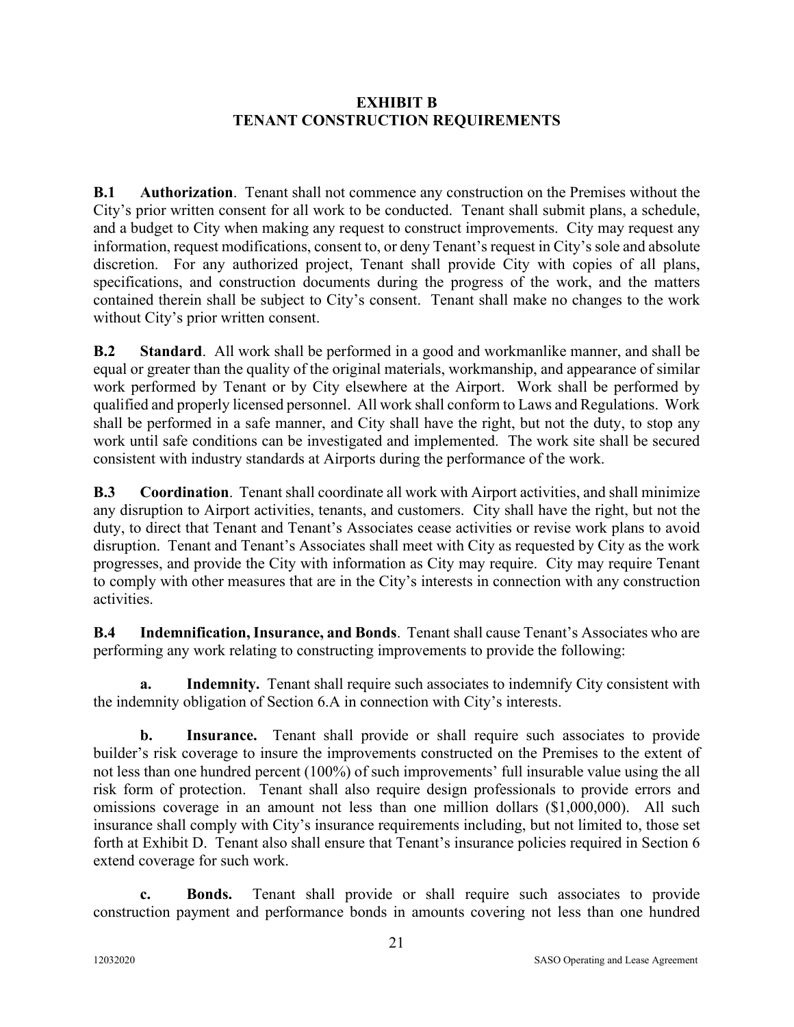#### **EXHIBIT B TENANT CONSTRUCTION REQUIREMENTS**

**B.1 Authorization**.Tenant shall not commence any construction on the Premises without the City's prior written consent for all work to be conducted. Tenant shall submit plans, a schedule, and a budget to City when making any request to construct improvements. City may request any information, request modifications, consent to, or deny Tenant's request in City's sole and absolute discretion. For any authorized project, Tenant shall provide City with copies of all plans, specifications, and construction documents during the progress of the work, and the matters contained therein shall be subject to City's consent. Tenant shall make no changes to the work without City's prior written consent.

**B.2 Standard**. All work shall be performed in a good and workmanlike manner, and shall be equal or greater than the quality of the original materials, workmanship, and appearance of similar work performed by Tenant or by City elsewhere at the Airport. Work shall be performed by qualified and properly licensed personnel. All work shall conform to Laws and Regulations. Work shall be performed in a safe manner, and City shall have the right, but not the duty, to stop any work until safe conditions can be investigated and implemented. The work site shall be secured consistent with industry standards at Airports during the performance of the work.

**B.3 Coordination**. Tenant shall coordinate all work with Airport activities, and shall minimize any disruption to Airport activities, tenants, and customers. City shall have the right, but not the duty, to direct that Tenant and Tenant's Associates cease activities or revise work plans to avoid disruption. Tenant and Tenant's Associates shall meet with City as requested by City as the work progresses, and provide the City with information as City may require. City may require Tenant to comply with other measures that are in the City's interests in connection with any construction activities.

**B.4 Indemnification, Insurance, and Bonds**. Tenant shall cause Tenant's Associates who are performing any work relating to constructing improvements to provide the following:

**a. Indemnity.** Tenant shall require such associates to indemnify City consistent with the indemnity obligation of Section 6.A in connection with City's interests.

**b. Insurance.** Tenant shall provide or shall require such associates to provide builder's risk coverage to insure the improvements constructed on the Premises to the extent of not less than one hundred percent (100%) of such improvements' full insurable value using the all risk form of protection. Tenant shall also require design professionals to provide errors and omissions coverage in an amount not less than one million dollars (\$1,000,000). All such insurance shall comply with City's insurance requirements including, but not limited to, those set forth at Exhibit D. Tenant also shall ensure that Tenant's insurance policies required in Section 6 extend coverage for such work.

**c. Bonds.** Tenant shall provide or shall require such associates to provide construction payment and performance bonds in amounts covering not less than one hundred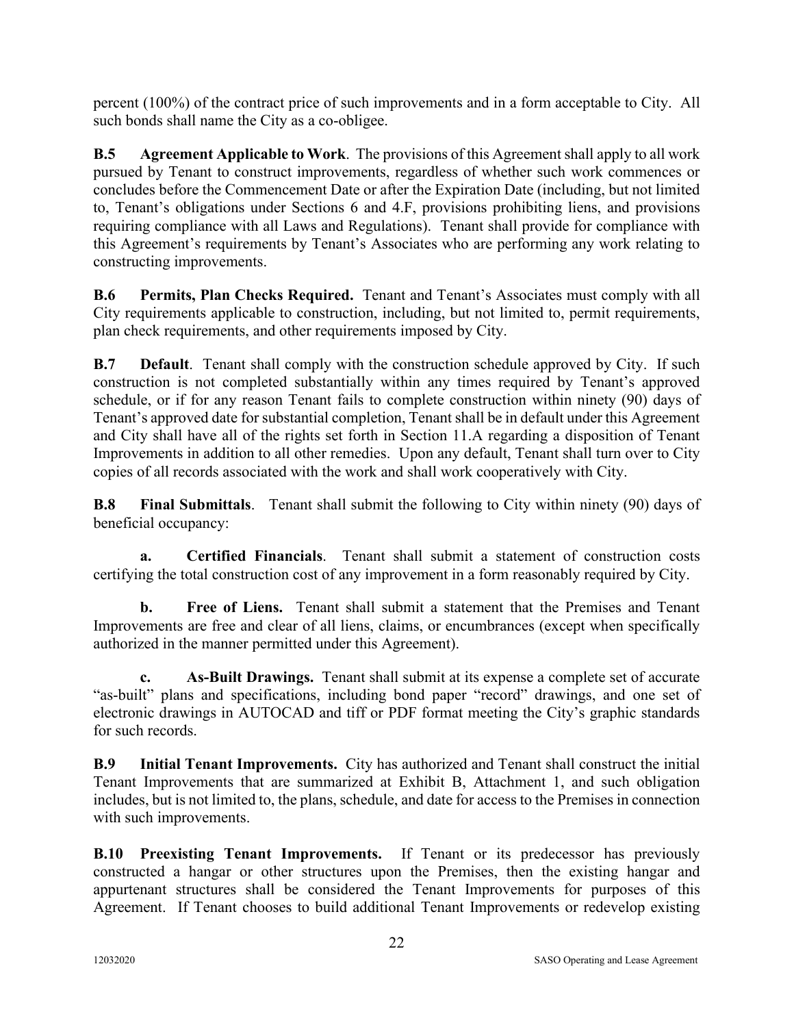percent (100%) of the contract price of such improvements and in a form acceptable to City. All such bonds shall name the City as a co-obligee.

**B.5 Agreement Applicable to Work**. The provisions of this Agreement shall apply to all work pursued by Tenant to construct improvements, regardless of whether such work commences or concludes before the Commencement Date or after the Expiration Date (including, but not limited to, Tenant's obligations under Sections 6 and 4.F, provisions prohibiting liens, and provisions requiring compliance with all Laws and Regulations). Tenant shall provide for compliance with this Agreement's requirements by Tenant's Associates who are performing any work relating to constructing improvements.

**B.6 Permits, Plan Checks Required.** Tenant and Tenant's Associates must comply with all City requirements applicable to construction, including, but not limited to, permit requirements, plan check requirements, and other requirements imposed by City.

**B.7 Default**. Tenant shall comply with the construction schedule approved by City. If such construction is not completed substantially within any times required by Tenant's approved schedule, or if for any reason Tenant fails to complete construction within ninety (90) days of Tenant's approved date for substantial completion, Tenant shall be in default under this Agreement and City shall have all of the rights set forth in Section 11.A regarding a disposition of Tenant Improvements in addition to all other remedies. Upon any default, Tenant shall turn over to City copies of all records associated with the work and shall work cooperatively with City.

**B.8 Final Submittals**. Tenant shall submit the following to City within ninety (90) days of beneficial occupancy:

**a. Certified Financials**. Tenant shall submit a statement of construction costs certifying the total construction cost of any improvement in a form reasonably required by City.

**b. Free of Liens.** Tenant shall submit a statement that the Premises and Tenant Improvements are free and clear of all liens, claims, or encumbrances (except when specifically authorized in the manner permitted under this Agreement).

**c. As-Built Drawings.** Tenant shall submit at its expense a complete set of accurate "as-built" plans and specifications, including bond paper "record" drawings, and one set of electronic drawings in AUTOCAD and tiff or PDF format meeting the City's graphic standards for such records.

**B.9 Initial Tenant Improvements.** City has authorized and Tenant shall construct the initial Tenant Improvements that are summarized at Exhibit B, Attachment 1, and such obligation includes, but is not limited to, the plans, schedule, and date for access to the Premises in connection with such improvements.

**B.10 Preexisting Tenant Improvements.** If Tenant or its predecessor has previously constructed a hangar or other structures upon the Premises, then the existing hangar and appurtenant structures shall be considered the Tenant Improvements for purposes of this Agreement. If Tenant chooses to build additional Tenant Improvements or redevelop existing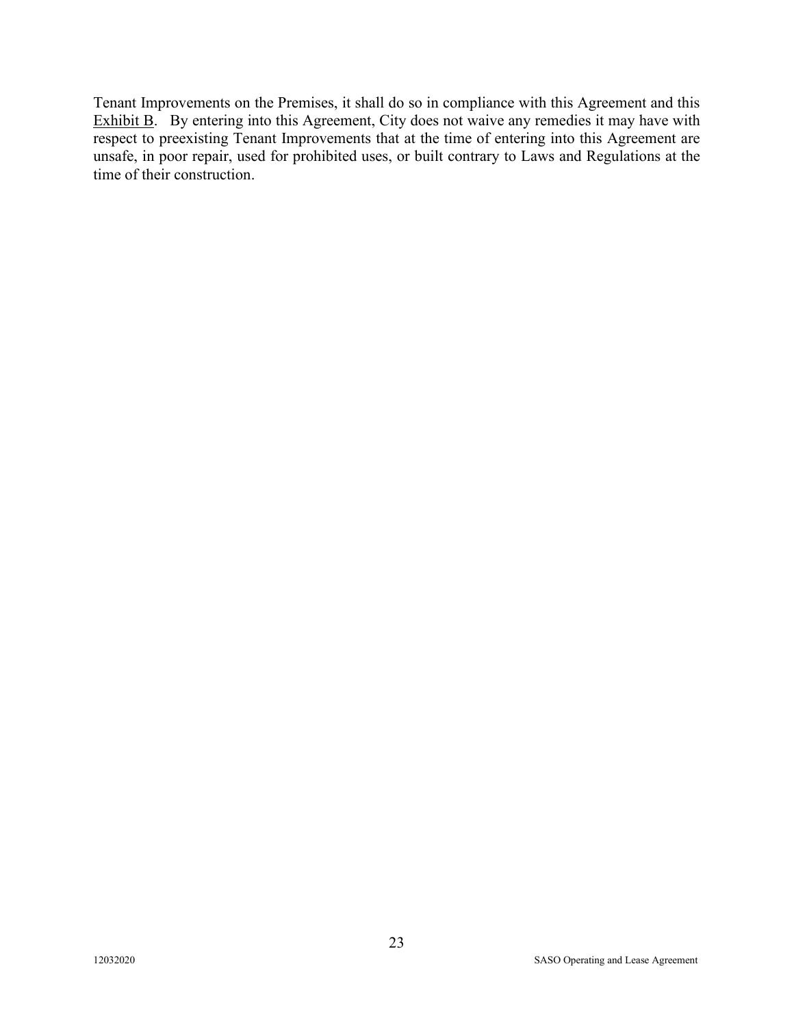Tenant Improvements on the Premises, it shall do so in compliance with this Agreement and this Exhibit B. By entering into this Agreement, City does not waive any remedies it may have with respect to preexisting Tenant Improvements that at the time of entering into this Agreement are unsafe, in poor repair, used for prohibited uses, or built contrary to Laws and Regulations at the time of their construction.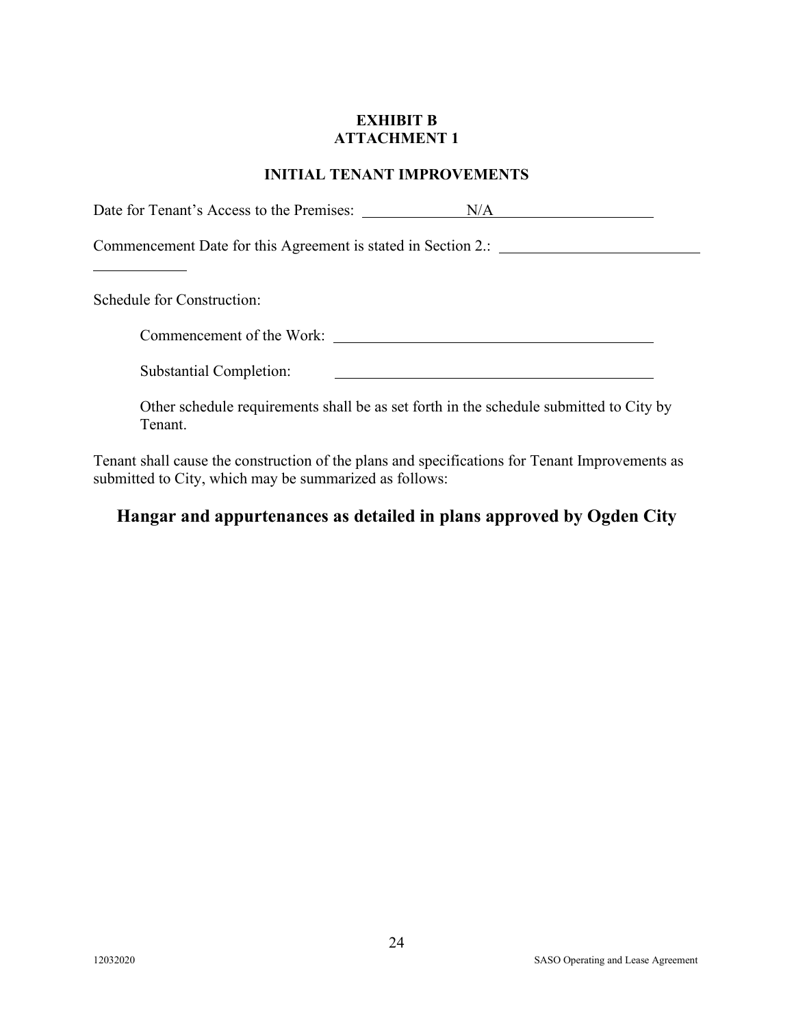#### **EXHIBIT B ATTACHMENT 1**

### **INITIAL TENANT IMPROVEMENTS**

| Date for Tenant's Access to the Premises:                                                         | N/A |
|---------------------------------------------------------------------------------------------------|-----|
| Commencement Date for this Agreement is stated in Section 2.: ______                              |     |
| Schedule for Construction:                                                                        |     |
|                                                                                                   |     |
| <b>Substantial Completion:</b>                                                                    |     |
| Other schedule requirements shall be as set forth in the schedule submitted to City by<br>Tenant. |     |

Tenant shall cause the construction of the plans and specifications for Tenant Improvements as submitted to City, which may be summarized as follows:

# **Hangar and appurtenances as detailed in plans approved by Ogden City**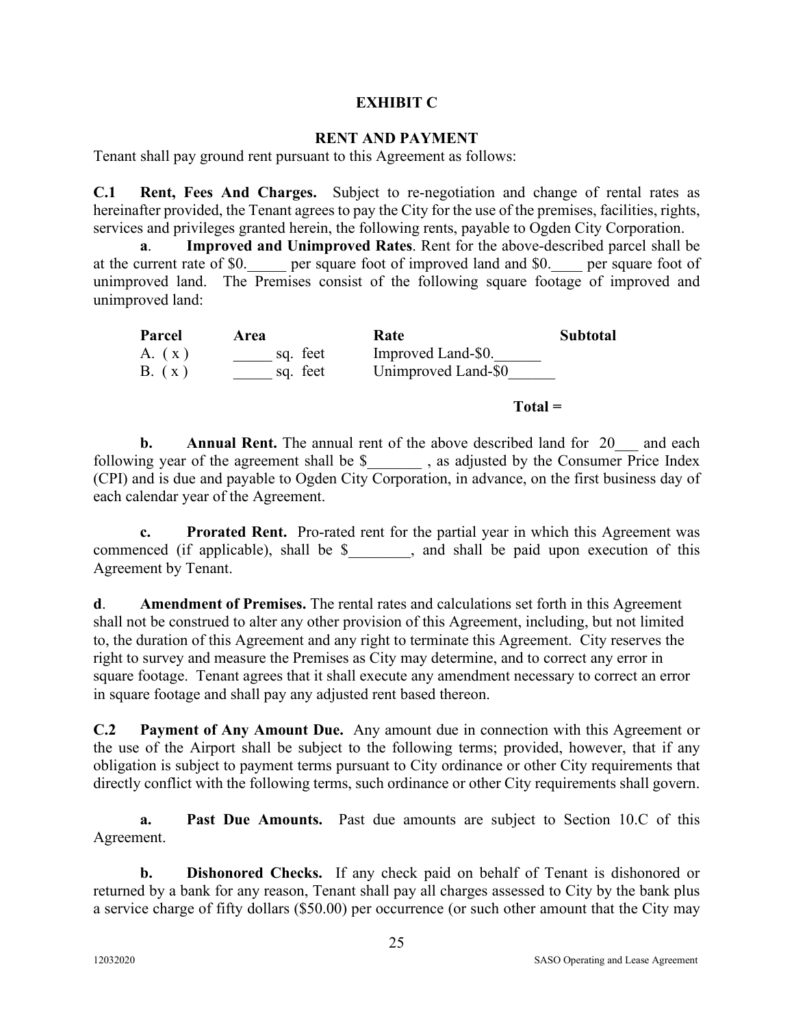#### **EXHIBIT C**

#### **RENT AND PAYMENT**

Tenant shall pay ground rent pursuant to this Agreement as follows:

**C.1 Rent, Fees And Charges.** Subject to re-negotiation and change of rental rates as hereinafter provided, the Tenant agrees to pay the City for the use of the premises, facilities, rights, services and privileges granted herein, the following rents, payable to Ogden City Corporation.

**a**. **Improved and Unimproved Rates**. Rent for the above-described parcel shall be at the current rate of \$0. \_\_\_\_ per square foot of improved land and \$0. \_\_\_\_ per square foot of unimproved land. The Premises consist of the following square footage of improved and unimproved land:

| Parcel | Area     | Rate                | <b>Subtotal</b> |
|--------|----------|---------------------|-----------------|
| A. (x) | sq. feet | Improved Land-\$0.  |                 |
| B. (x) | sq. feet | Unimproved Land-\$0 |                 |

**Total =**

**b. Annual Rent.** The annual rent of the above described land for 20 and each following year of the agreement shall be \$ \_\_\_\_\_\_\_, as adjusted by the Consumer Price Index (CPI) and is due and payable to Ogden City Corporation, in advance, on the first business day of each calendar year of the Agreement.

**c. Prorated Rent.** Pro-rated rent for the partial year in which this Agreement was commenced (if applicable), shall be \$, and shall be paid upon execution of this Agreement by Tenant.

**d**. **Amendment of Premises.** The rental rates and calculations set forth in this Agreement shall not be construed to alter any other provision of this Agreement, including, but not limited to, the duration of this Agreement and any right to terminate this Agreement. City reserves the right to survey and measure the Premises as City may determine, and to correct any error in square footage. Tenant agrees that it shall execute any amendment necessary to correct an error in square footage and shall pay any adjusted rent based thereon.

**C.2 Payment of Any Amount Due.** Any amount due in connection with this Agreement or the use of the Airport shall be subject to the following terms; provided, however, that if any obligation is subject to payment terms pursuant to City ordinance or other City requirements that directly conflict with the following terms, such ordinance or other City requirements shall govern.

**a. Past Due Amounts.** Past due amounts are subject to Section 10.C of this Agreement.

**b. Dishonored Checks.** If any check paid on behalf of Tenant is dishonored or returned by a bank for any reason, Tenant shall pay all charges assessed to City by the bank plus a service charge of fifty dollars (\$50.00) per occurrence (or such other amount that the City may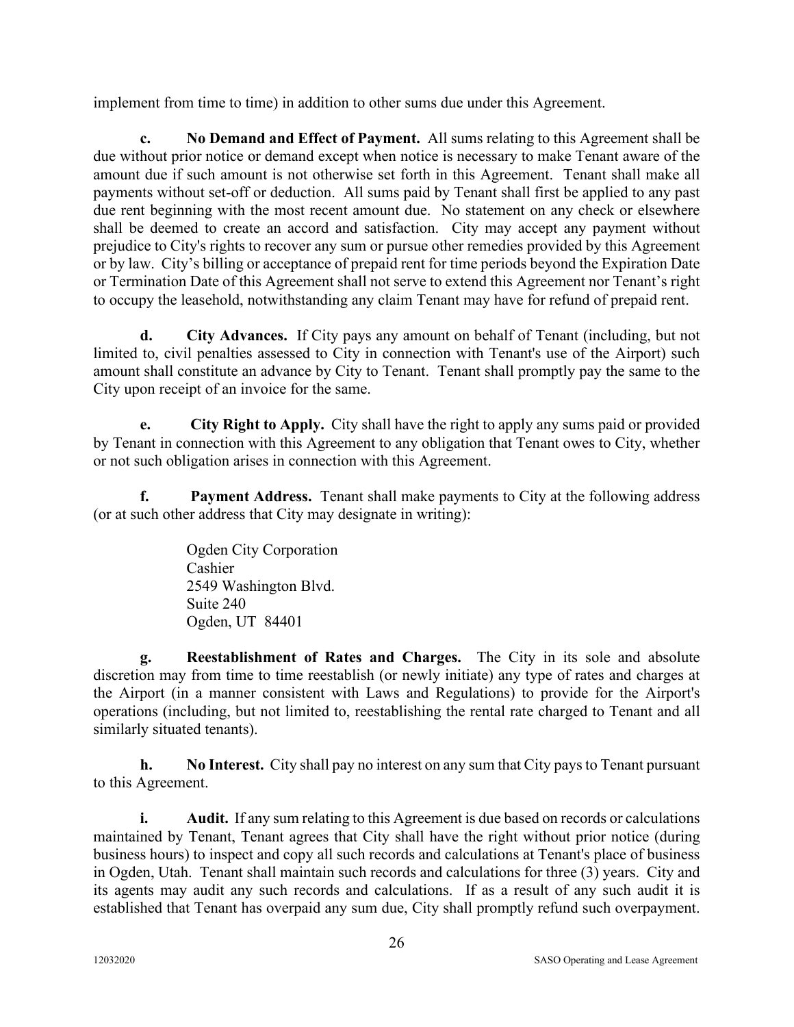implement from time to time) in addition to other sums due under this Agreement.

**c. No Demand and Effect of Payment.** All sums relating to this Agreement shall be due without prior notice or demand except when notice is necessary to make Tenant aware of the amount due if such amount is not otherwise set forth in this Agreement. Tenant shall make all payments without set-off or deduction. All sums paid by Tenant shall first be applied to any past due rent beginning with the most recent amount due. No statement on any check or elsewhere shall be deemed to create an accord and satisfaction. City may accept any payment without prejudice to City's rights to recover any sum or pursue other remedies provided by this Agreement or by law. City's billing or acceptance of prepaid rent for time periods beyond the Expiration Date or Termination Date of this Agreement shall not serve to extend this Agreement nor Tenant's right to occupy the leasehold, notwithstanding any claim Tenant may have for refund of prepaid rent.

**d. City Advances.** If City pays any amount on behalf of Tenant (including, but not limited to, civil penalties assessed to City in connection with Tenant's use of the Airport) such amount shall constitute an advance by City to Tenant. Tenant shall promptly pay the same to the City upon receipt of an invoice for the same.

**e. City Right to Apply.** City shall have the right to apply any sums paid or provided by Tenant in connection with this Agreement to any obligation that Tenant owes to City, whether or not such obligation arises in connection with this Agreement.

**f. Payment Address.** Tenant shall make payments to City at the following address (or at such other address that City may designate in writing):

> Ogden City Corporation Cashier 2549 Washington Blvd. Suite 240 Ogden, UT 84401

**g. Reestablishment of Rates and Charges.** The City in its sole and absolute discretion may from time to time reestablish (or newly initiate) any type of rates and charges at the Airport (in a manner consistent with Laws and Regulations) to provide for the Airport's operations (including, but not limited to, reestablishing the rental rate charged to Tenant and all similarly situated tenants).

**h. No Interest.** City shall pay no interest on any sum that City pays to Tenant pursuant to this Agreement.

**i.** Audit. If any sum relating to this Agreement is due based on records or calculations maintained by Tenant, Tenant agrees that City shall have the right without prior notice (during business hours) to inspect and copy all such records and calculations at Tenant's place of business in Ogden, Utah. Tenant shall maintain such records and calculations for three (3) years. City and its agents may audit any such records and calculations. If as a result of any such audit it is established that Tenant has overpaid any sum due, City shall promptly refund such overpayment.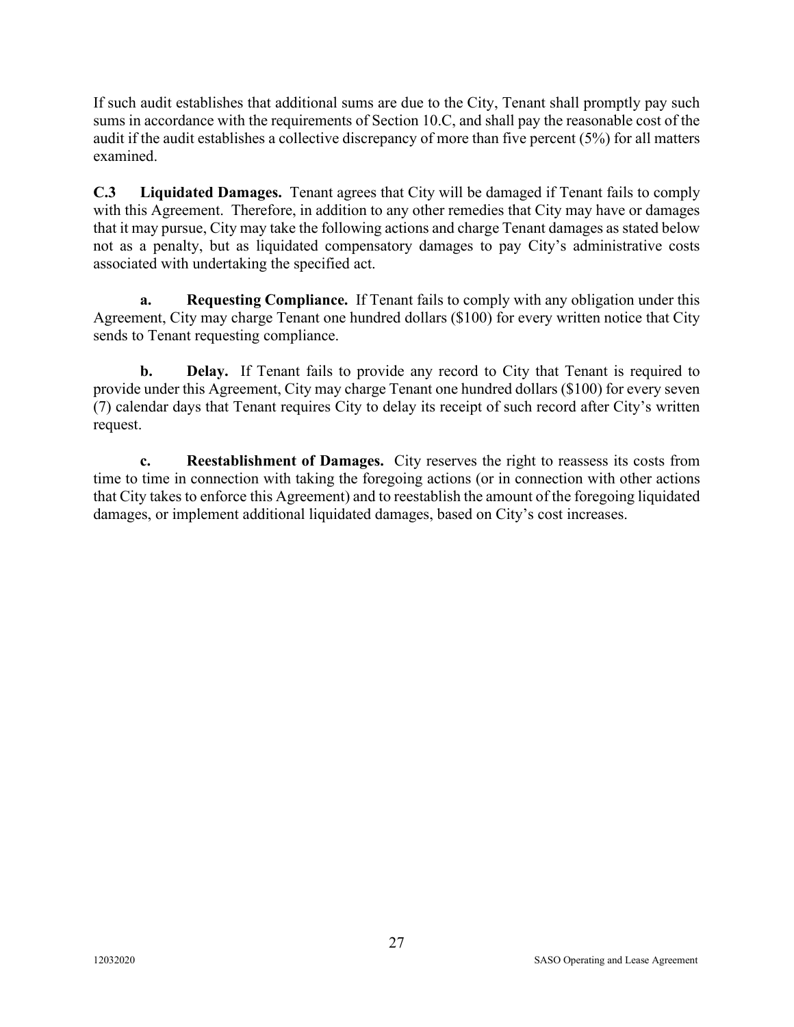If such audit establishes that additional sums are due to the City, Tenant shall promptly pay such sums in accordance with the requirements of Section 10.C, and shall pay the reasonable cost of the audit if the audit establishes a collective discrepancy of more than five percent (5%) for all matters examined.

**C.3 Liquidated Damages.** Tenant agrees that City will be damaged if Tenant fails to comply with this Agreement. Therefore, in addition to any other remedies that City may have or damages that it may pursue, City may take the following actions and charge Tenant damages as stated below not as a penalty, but as liquidated compensatory damages to pay City's administrative costs associated with undertaking the specified act.

**a. Requesting Compliance.** If Tenant fails to comply with any obligation under this Agreement, City may charge Tenant one hundred dollars (\$100) for every written notice that City sends to Tenant requesting compliance.

**b. Delay.** If Tenant fails to provide any record to City that Tenant is required to provide under this Agreement, City may charge Tenant one hundred dollars (\$100) for every seven (7) calendar days that Tenant requires City to delay its receipt of such record after City's written request.

**c. Reestablishment of Damages.** City reserves the right to reassess its costs from time to time in connection with taking the foregoing actions (or in connection with other actions that City takes to enforce this Agreement) and to reestablish the amount of the foregoing liquidated damages, or implement additional liquidated damages, based on City's cost increases.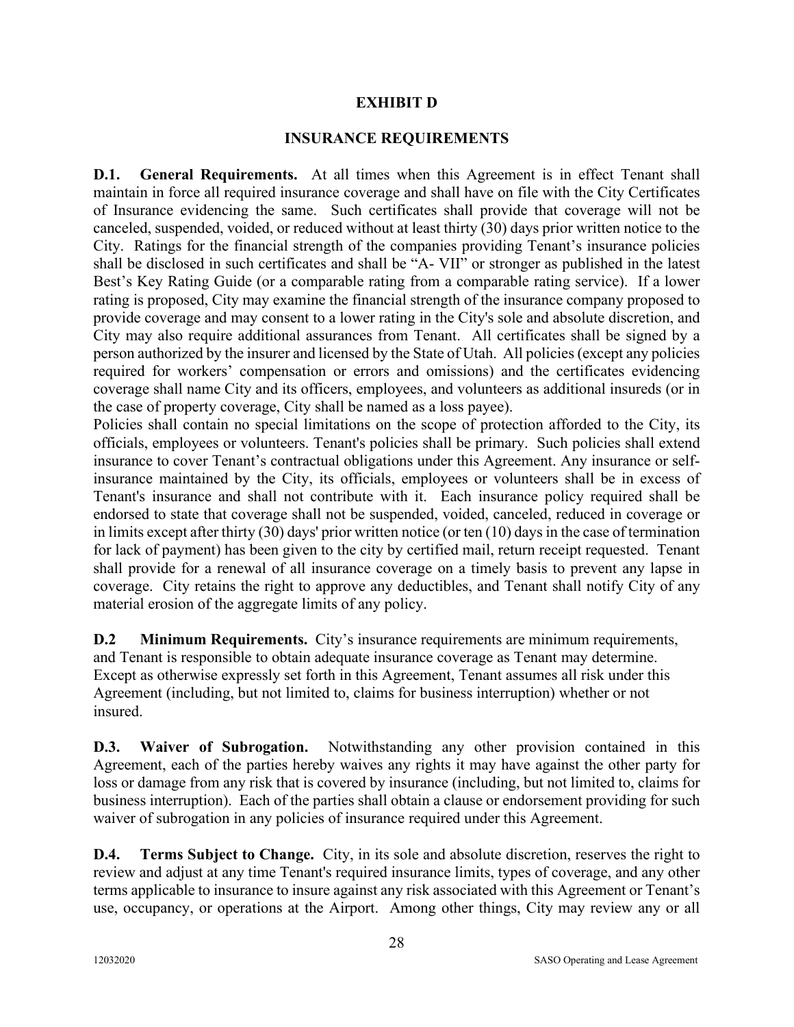#### **EXHIBIT D**

#### **INSURANCE REQUIREMENTS**

**D.1. General Requirements.** At all times when this Agreement is in effect Tenant shall maintain in force all required insurance coverage and shall have on file with the City Certificates of Insurance evidencing the same. Such certificates shall provide that coverage will not be canceled, suspended, voided, or reduced without at least thirty (30) days prior written notice to the City. Ratings for the financial strength of the companies providing Tenant's insurance policies shall be disclosed in such certificates and shall be "A- VII" or stronger as published in the latest Best's Key Rating Guide (or a comparable rating from a comparable rating service). If a lower rating is proposed, City may examine the financial strength of the insurance company proposed to provide coverage and may consent to a lower rating in the City's sole and absolute discretion, and City may also require additional assurances from Tenant. All certificates shall be signed by a person authorized by the insurer and licensed by the State of Utah. All policies (except any policies required for workers' compensation or errors and omissions) and the certificates evidencing coverage shall name City and its officers, employees, and volunteers as additional insureds (or in the case of property coverage, City shall be named as a loss payee).

Policies shall contain no special limitations on the scope of protection afforded to the City, its officials, employees or volunteers. Tenant's policies shall be primary. Such policies shall extend insurance to cover Tenant's contractual obligations under this Agreement. Any insurance or selfinsurance maintained by the City, its officials, employees or volunteers shall be in excess of Tenant's insurance and shall not contribute with it. Each insurance policy required shall be endorsed to state that coverage shall not be suspended, voided, canceled, reduced in coverage or in limits except after thirty (30) days' prior written notice (or ten (10) days in the case of termination for lack of payment) has been given to the city by certified mail, return receipt requested. Tenant shall provide for a renewal of all insurance coverage on a timely basis to prevent any lapse in coverage. City retains the right to approve any deductibles, and Tenant shall notify City of any material erosion of the aggregate limits of any policy.

**D.2 Minimum Requirements.** City's insurance requirements are minimum requirements, and Tenant is responsible to obtain adequate insurance coverage as Tenant may determine. Except as otherwise expressly set forth in this Agreement, Tenant assumes all risk under this Agreement (including, but not limited to, claims for business interruption) whether or not insured.

**D.3. Waiver of Subrogation.** Notwithstanding any other provision contained in this Agreement, each of the parties hereby waives any rights it may have against the other party for loss or damage from any risk that is covered by insurance (including, but not limited to, claims for business interruption). Each of the parties shall obtain a clause or endorsement providing for such waiver of subrogation in any policies of insurance required under this Agreement.

**D.4.** Terms Subject to Change. City, in its sole and absolute discretion, reserves the right to review and adjust at any time Tenant's required insurance limits, types of coverage, and any other terms applicable to insurance to insure against any risk associated with this Agreement or Tenant's use, occupancy, or operations at the Airport. Among other things, City may review any or all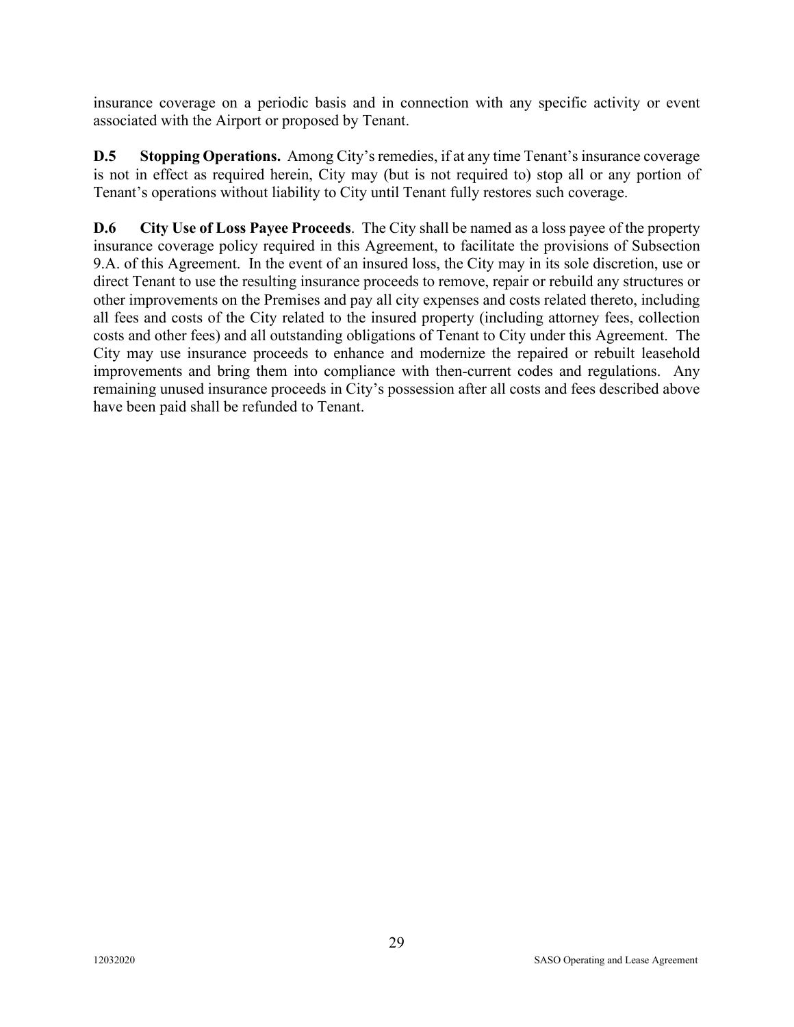insurance coverage on a periodic basis and in connection with any specific activity or event associated with the Airport or proposed by Tenant.

**D.5 Stopping Operations.** Among City's remedies, if at any time Tenant's insurance coverage is not in effect as required herein, City may (but is not required to) stop all or any portion of Tenant's operations without liability to City until Tenant fully restores such coverage.

**D.6 City Use of Loss Payee Proceeds**. The City shall be named as a loss payee of the property insurance coverage policy required in this Agreement, to facilitate the provisions of Subsection 9.A. of this Agreement. In the event of an insured loss, the City may in its sole discretion, use or direct Tenant to use the resulting insurance proceeds to remove, repair or rebuild any structures or other improvements on the Premises and pay all city expenses and costs related thereto, including all fees and costs of the City related to the insured property (including attorney fees, collection costs and other fees) and all outstanding obligations of Tenant to City under this Agreement. The City may use insurance proceeds to enhance and modernize the repaired or rebuilt leasehold improvements and bring them into compliance with then-current codes and regulations. Any remaining unused insurance proceeds in City's possession after all costs and fees described above have been paid shall be refunded to Tenant.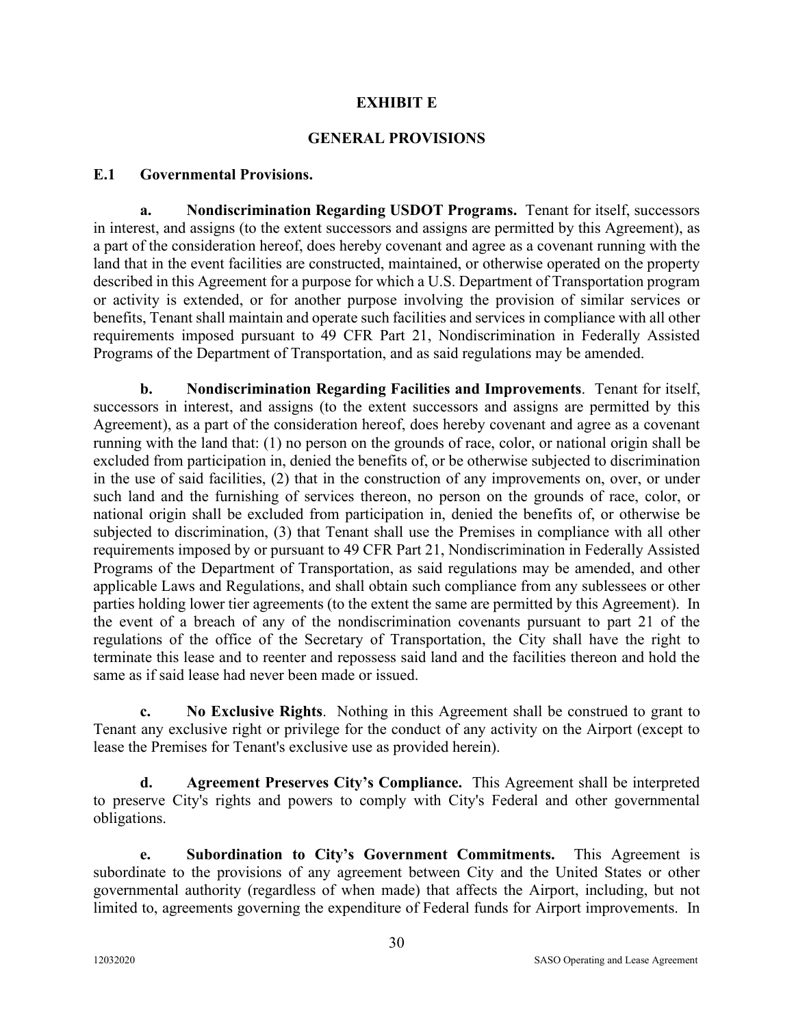#### **EXHIBIT E**

#### **GENERAL PROVISIONS**

#### **E.1 Governmental Provisions.**

**a. Nondiscrimination Regarding USDOT Programs.** Tenant for itself, successors in interest, and assigns (to the extent successors and assigns are permitted by this Agreement), as a part of the consideration hereof, does hereby covenant and agree as a covenant running with the land that in the event facilities are constructed, maintained, or otherwise operated on the property described in this Agreement for a purpose for which a U.S. Department of Transportation program or activity is extended, or for another purpose involving the provision of similar services or benefits, Tenant shall maintain and operate such facilities and services in compliance with all other requirements imposed pursuant to 49 CFR Part 21, Nondiscrimination in Federally Assisted Programs of the Department of Transportation, and as said regulations may be amended.

**b. Nondiscrimination Regarding Facilities and Improvements**. Tenant for itself, successors in interest, and assigns (to the extent successors and assigns are permitted by this Agreement), as a part of the consideration hereof, does hereby covenant and agree as a covenant running with the land that: (1) no person on the grounds of race, color, or national origin shall be excluded from participation in, denied the benefits of, or be otherwise subjected to discrimination in the use of said facilities, (2) that in the construction of any improvements on, over, or under such land and the furnishing of services thereon, no person on the grounds of race, color, or national origin shall be excluded from participation in, denied the benefits of, or otherwise be subjected to discrimination, (3) that Tenant shall use the Premises in compliance with all other requirements imposed by or pursuant to 49 CFR Part 21, Nondiscrimination in Federally Assisted Programs of the Department of Transportation, as said regulations may be amended, and other applicable Laws and Regulations, and shall obtain such compliance from any sublessees or other parties holding lower tier agreements (to the extent the same are permitted by this Agreement). In the event of a breach of any of the nondiscrimination covenants pursuant to part 21 of the regulations of the office of the Secretary of Transportation, the City shall have the right to terminate this lease and to reenter and repossess said land and the facilities thereon and hold the same as if said lease had never been made or issued.

**c. No Exclusive Rights**. Nothing in this Agreement shall be construed to grant to Tenant any exclusive right or privilege for the conduct of any activity on the Airport (except to lease the Premises for Tenant's exclusive use as provided herein).

**d. Agreement Preserves City's Compliance.** This Agreement shall be interpreted to preserve City's rights and powers to comply with City's Federal and other governmental obligations.

**e. Subordination to City's Government Commitments.** This Agreement is subordinate to the provisions of any agreement between City and the United States or other governmental authority (regardless of when made) that affects the Airport, including, but not limited to, agreements governing the expenditure of Federal funds for Airport improvements. In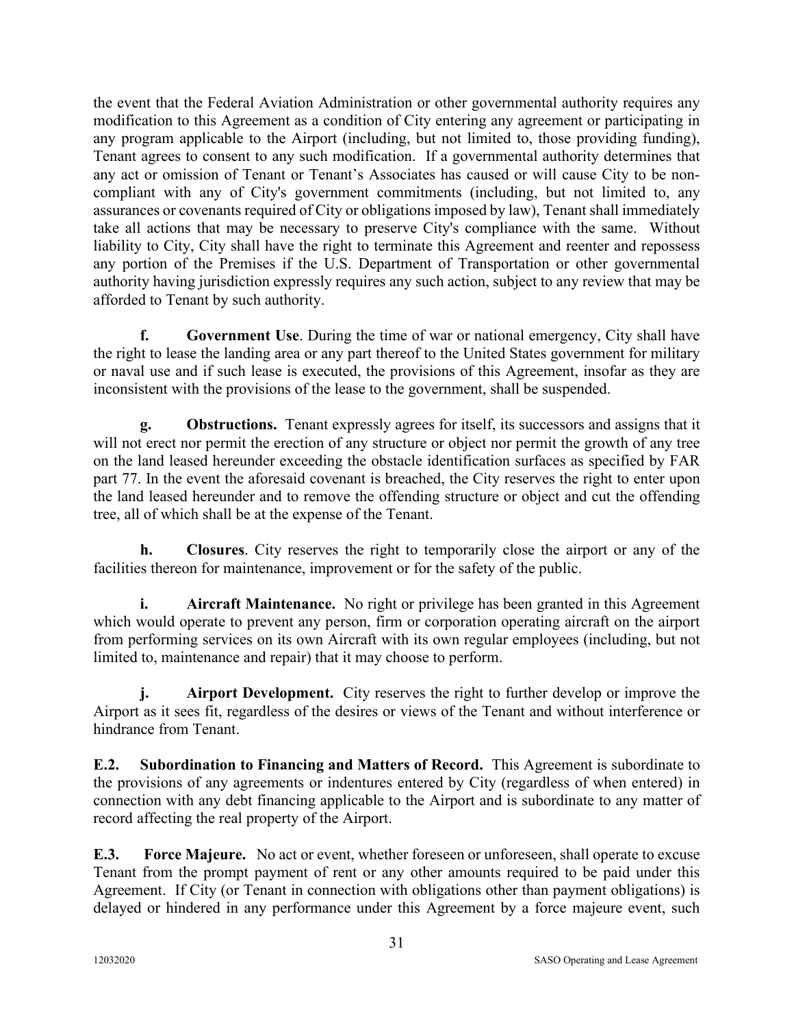the event that the Federal Aviation Administration or other governmental authority requires any modification to this Agreement as a condition of City entering any agreement or participating in any program applicable to the Airport (including, but not limited to, those providing funding), Tenant agrees to consent to any such modification. If a governmental authority determines that any act or omission of Tenant or Tenant's Associates has caused or will cause City to be noncompliant with any of City's government commitments (including, but not limited to, any assurances or covenants required of City or obligations imposed by law), Tenant shall immediately take all actions that may be necessary to preserve City's compliance with the same. Without liability to City, City shall have the right to terminate this Agreement and reenter and repossess any portion of the Premises if the U.S. Department of Transportation or other governmental authority having jurisdiction expressly requires any such action, subject to any review that may be afforded to Tenant by such authority.

**f. Government Use**. During the time of war or national emergency, City shall have the right to lease the landing area or any part thereof to the United States government for military or naval use and if such lease is executed, the provisions of this Agreement, insofar as they are inconsistent with the provisions of the lease to the government, shall be suspended.

**g. Obstructions.** Tenant expressly agrees for itself, its successors and assigns that it will not erect nor permit the erection of any structure or object nor permit the growth of any tree on the land leased hereunder exceeding the obstacle identification surfaces as specified by FAR part 77. In the event the aforesaid covenant is breached, the City reserves the right to enter upon the land leased hereunder and to remove the offending structure or object and cut the offending tree, all of which shall be at the expense of the Tenant.

**h. Closures**. City reserves the right to temporarily close the airport or any of the facilities thereon for maintenance, improvement or for the safety of the public.

**i.** Aircraft Maintenance. No right or privilege has been granted in this Agreement which would operate to prevent any person, firm or corporation operating aircraft on the airport from performing services on its own Aircraft with its own regular employees (including, but not limited to, maintenance and repair) that it may choose to perform.

**j.** Airport Development. City reserves the right to further develop or improve the Airport as it sees fit, regardless of the desires or views of the Tenant and without interference or hindrance from Tenant.

**E.2. Subordination to Financing and Matters of Record.** This Agreement is subordinate to the provisions of any agreements or indentures entered by City (regardless of when entered) in connection with any debt financing applicable to the Airport and is subordinate to any matter of record affecting the real property of the Airport.

**E.3. Force Majeure.** No act or event, whether foreseen or unforeseen, shall operate to excuse Tenant from the prompt payment of rent or any other amounts required to be paid under this Agreement. If City (or Tenant in connection with obligations other than payment obligations) is delayed or hindered in any performance under this Agreement by a force majeure event, such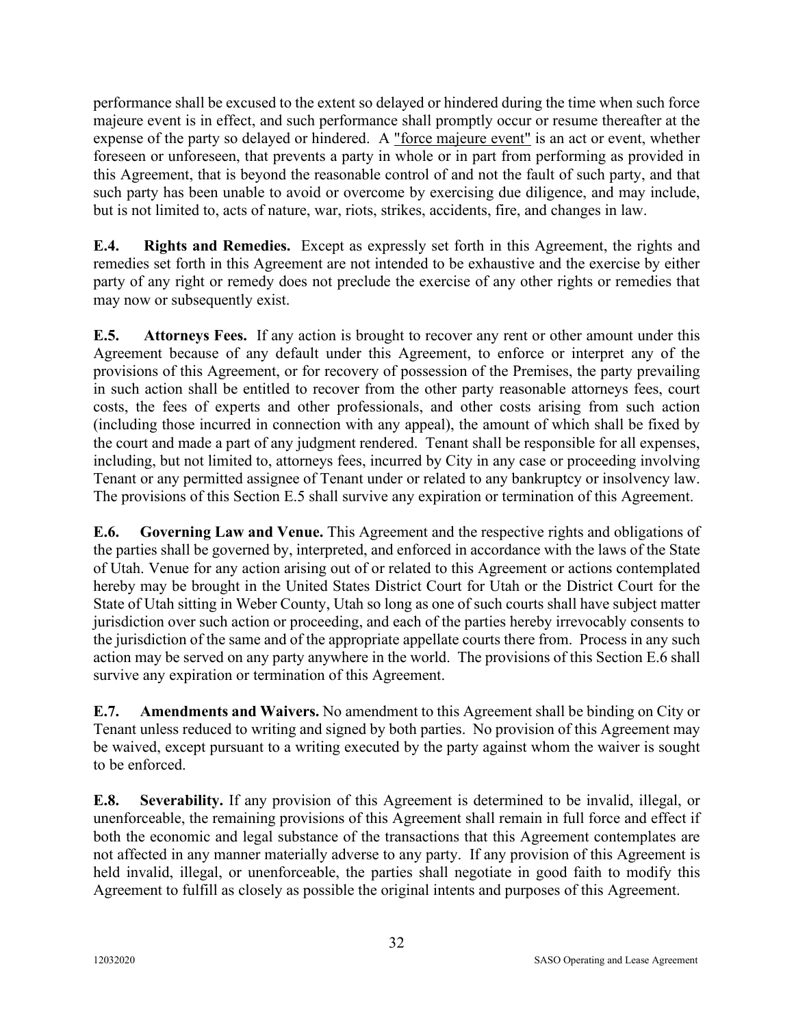performance shall be excused to the extent so delayed or hindered during the time when such force majeure event is in effect, and such performance shall promptly occur or resume thereafter at the expense of the party so delayed or hindered. A "force majeure event" is an act or event, whether foreseen or unforeseen, that prevents a party in whole or in part from performing as provided in this Agreement, that is beyond the reasonable control of and not the fault of such party, and that such party has been unable to avoid or overcome by exercising due diligence, and may include, but is not limited to, acts of nature, war, riots, strikes, accidents, fire, and changes in law.

**E.4. Rights and Remedies.** Except as expressly set forth in this Agreement, the rights and remedies set forth in this Agreement are not intended to be exhaustive and the exercise by either party of any right or remedy does not preclude the exercise of any other rights or remedies that may now or subsequently exist.

**E.5. Attorneys Fees.** If any action is brought to recover any rent or other amount under this Agreement because of any default under this Agreement, to enforce or interpret any of the provisions of this Agreement, or for recovery of possession of the Premises, the party prevailing in such action shall be entitled to recover from the other party reasonable attorneys fees, court costs, the fees of experts and other professionals, and other costs arising from such action (including those incurred in connection with any appeal), the amount of which shall be fixed by the court and made a part of any judgment rendered. Tenant shall be responsible for all expenses, including, but not limited to, attorneys fees, incurred by City in any case or proceeding involving Tenant or any permitted assignee of Tenant under or related to any bankruptcy or insolvency law. The provisions of this Section E.5 shall survive any expiration or termination of this Agreement.

**E.6. Governing Law and Venue.** This Agreement and the respective rights and obligations of the parties shall be governed by, interpreted, and enforced in accordance with the laws of the State of Utah. Venue for any action arising out of or related to this Agreement or actions contemplated hereby may be brought in the United States District Court for Utah or the District Court for the State of Utah sitting in Weber County, Utah so long as one of such courts shall have subject matter jurisdiction over such action or proceeding, and each of the parties hereby irrevocably consents to the jurisdiction of the same and of the appropriate appellate courts there from. Process in any such action may be served on any party anywhere in the world. The provisions of this Section E.6 shall survive any expiration or termination of this Agreement.

**E.7. Amendments and Waivers.** No amendment to this Agreement shall be binding on City or Tenant unless reduced to writing and signed by both parties. No provision of this Agreement may be waived, except pursuant to a writing executed by the party against whom the waiver is sought to be enforced.

**E.8. Severability.** If any provision of this Agreement is determined to be invalid, illegal, or unenforceable, the remaining provisions of this Agreement shall remain in full force and effect if both the economic and legal substance of the transactions that this Agreement contemplates are not affected in any manner materially adverse to any party. If any provision of this Agreement is held invalid, illegal, or unenforceable, the parties shall negotiate in good faith to modify this Agreement to fulfill as closely as possible the original intents and purposes of this Agreement.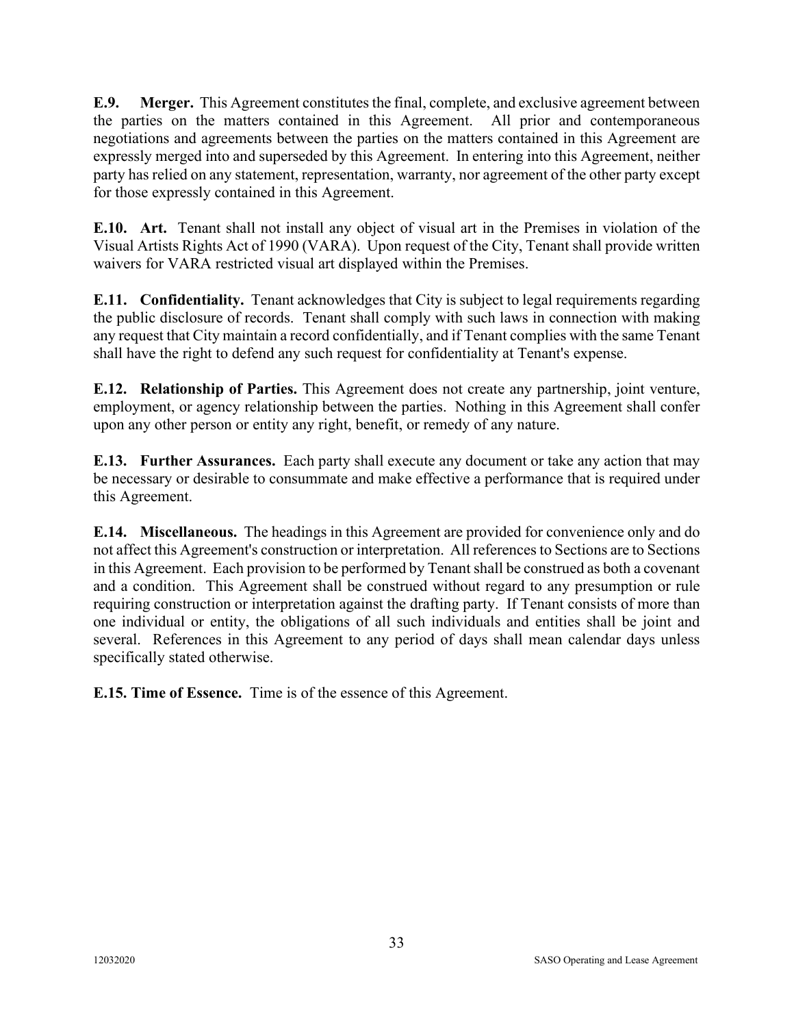**E.9. Merger.** This Agreement constitutes the final, complete, and exclusive agreement between the parties on the matters contained in this Agreement. All prior and contemporaneous negotiations and agreements between the parties on the matters contained in this Agreement are expressly merged into and superseded by this Agreement. In entering into this Agreement, neither party has relied on any statement, representation, warranty, nor agreement of the other party except for those expressly contained in this Agreement.

**E.10. Art.** Tenant shall not install any object of visual art in the Premises in violation of the Visual Artists Rights Act of 1990 (VARA). Upon request of the City, Tenant shall provide written waivers for VARA restricted visual art displayed within the Premises.

**E.11. Confidentiality.** Tenant acknowledges that City is subject to legal requirements regarding the public disclosure of records. Tenant shall comply with such laws in connection with making any request that City maintain a record confidentially, and if Tenant complies with the same Tenant shall have the right to defend any such request for confidentiality at Tenant's expense.

**E.12. Relationship of Parties.** This Agreement does not create any partnership, joint venture, employment, or agency relationship between the parties. Nothing in this Agreement shall confer upon any other person or entity any right, benefit, or remedy of any nature.

**E.13. Further Assurances.** Each party shall execute any document or take any action that may be necessary or desirable to consummate and make effective a performance that is required under this Agreement.

**E.14. Miscellaneous.** The headings in this Agreement are provided for convenience only and do not affect this Agreement's construction or interpretation. All referencesto Sections are to Sections in this Agreement. Each provision to be performed by Tenant shall be construed as both a covenant and a condition. This Agreement shall be construed without regard to any presumption or rule requiring construction or interpretation against the drafting party. If Tenant consists of more than one individual or entity, the obligations of all such individuals and entities shall be joint and several. References in this Agreement to any period of days shall mean calendar days unless specifically stated otherwise.

**E.15. Time of Essence.** Time is of the essence of this Agreement.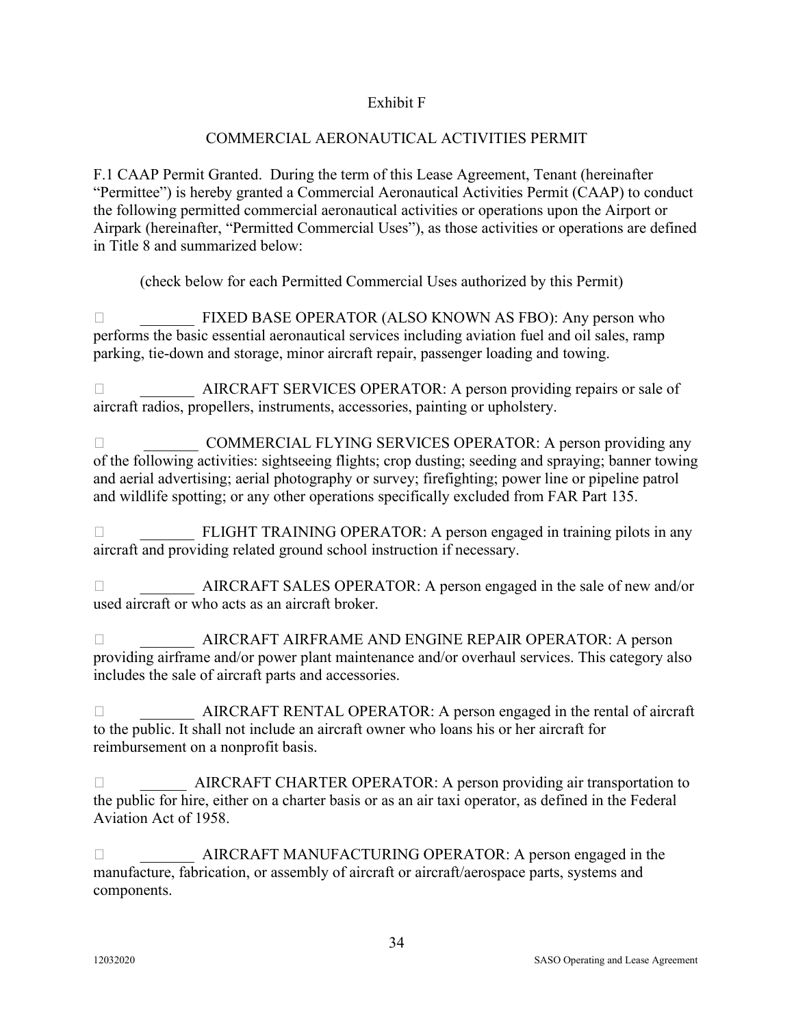### Exhibit F

### COMMERCIAL AERONAUTICAL ACTIVITIES PERMIT

F.1 CAAP Permit Granted. During the term of this Lease Agreement, Tenant (hereinafter "Permittee") is hereby granted a Commercial Aeronautical Activities Permit (CAAP) to conduct the following permitted commercial aeronautical activities or operations upon the Airport or Airpark (hereinafter, "Permitted Commercial Uses"), as those activities or operations are defined in Title 8 and summarized below:

(check below for each Permitted Commercial Uses authorized by this Permit)

 \_\_\_\_\_\_\_ FIXED BASE OPERATOR (ALSO KNOWN AS FBO): Any person who performs the basic essential aeronautical services including aviation fuel and oil sales, ramp parking, tie-down and storage, minor aircraft repair, passenger loading and towing.

□<br>AIRCRAFT SERVICES OPERATOR: A person providing repairs or sale of aircraft radios, propellers, instruments, accessories, painting or upholstery.

□ COMMERCIAL FLYING SERVICES OPERATOR: A person providing any of the following activities: sightseeing flights; crop dusting; seeding and spraying; banner towing and aerial advertising; aerial photography or survey; firefighting; power line or pipeline patrol and wildlife spotting; or any other operations specifically excluded from FAR Part 135.

□<br>
FLIGHT TRAINING OPERATOR: A person engaged in training pilots in any aircraft and providing related ground school instruction if necessary.

 \_\_\_\_\_\_\_ AIRCRAFT SALES OPERATOR: A person engaged in the sale of new and/or used aircraft or who acts as an aircraft broker.

 \_\_\_\_\_\_\_ AIRCRAFT AIRFRAME AND ENGINE REPAIR OPERATOR: A person providing airframe and/or power plant maintenance and/or overhaul services. This category also includes the sale of aircraft parts and accessories.

 \_\_\_\_\_\_\_ AIRCRAFT RENTAL OPERATOR: A person engaged in the rental of aircraft to the public. It shall not include an aircraft owner who loans his or her aircraft for reimbursement on a nonprofit basis.

 \_\_\_\_\_\_ AIRCRAFT CHARTER OPERATOR: A person providing air transportation to the public for hire, either on a charter basis or as an air taxi operator, as defined in the Federal Aviation Act of 1958.

 \_\_\_\_\_\_\_ AIRCRAFT MANUFACTURING OPERATOR: A person engaged in the manufacture, fabrication, or assembly of aircraft or aircraft/aerospace parts, systems and components.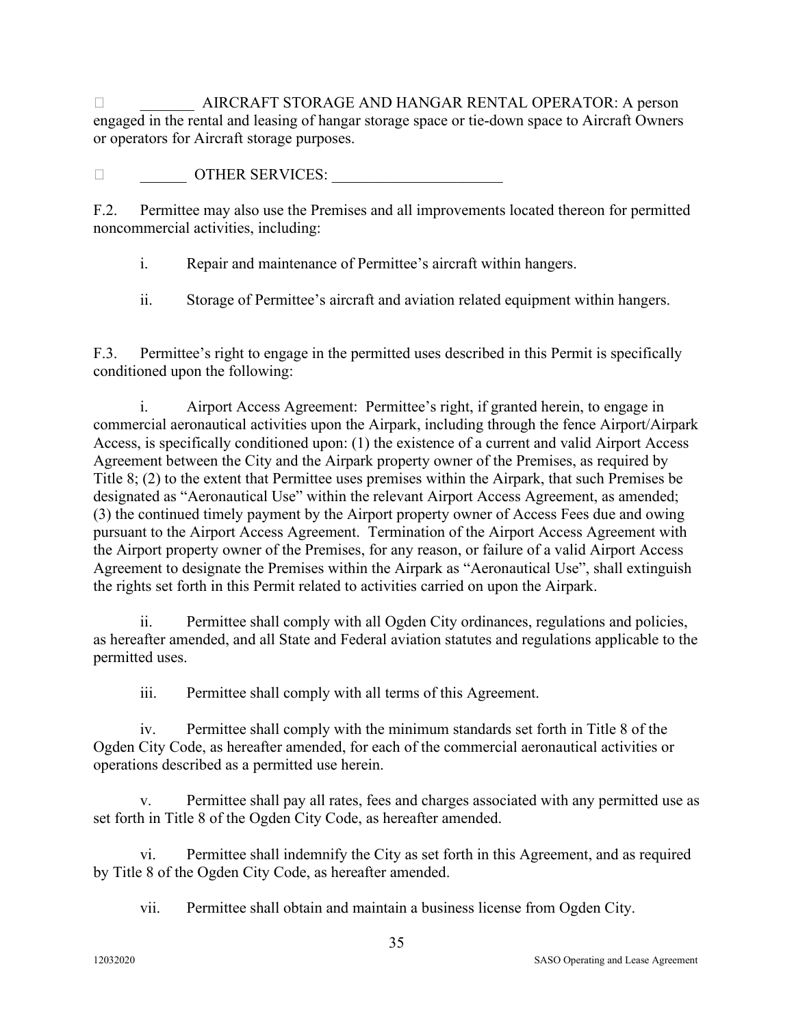\_\_\_\_\_\_\_ AIRCRAFT STORAGE AND HANGAR RENTAL OPERATOR: A person engaged in the rental and leasing of hangar storage space or tie-down space to Aircraft Owners or operators for Aircraft storage purposes.

 $\Box$   $\Box$  OTHER SERVICES:

F.2. Permittee may also use the Premises and all improvements located thereon for permitted noncommercial activities, including:

i. Repair and maintenance of Permittee's aircraft within hangers.

ii. Storage of Permittee's aircraft and aviation related equipment within hangers.

F.3. Permittee's right to engage in the permitted uses described in this Permit is specifically conditioned upon the following:

i. Airport Access Agreement: Permittee's right, if granted herein, to engage in commercial aeronautical activities upon the Airpark, including through the fence Airport/Airpark Access, is specifically conditioned upon: (1) the existence of a current and valid Airport Access Agreement between the City and the Airpark property owner of the Premises, as required by Title 8; (2) to the extent that Permittee uses premises within the Airpark, that such Premises be designated as "Aeronautical Use" within the relevant Airport Access Agreement, as amended; (3) the continued timely payment by the Airport property owner of Access Fees due and owing pursuant to the Airport Access Agreement. Termination of the Airport Access Agreement with the Airport property owner of the Premises, for any reason, or failure of a valid Airport Access Agreement to designate the Premises within the Airpark as "Aeronautical Use", shall extinguish the rights set forth in this Permit related to activities carried on upon the Airpark.

ii. Permittee shall comply with all Ogden City ordinances, regulations and policies, as hereafter amended, and all State and Federal aviation statutes and regulations applicable to the permitted uses.

iii. Permittee shall comply with all terms of this Agreement.

iv. Permittee shall comply with the minimum standards set forth in Title 8 of the Ogden City Code, as hereafter amended, for each of the commercial aeronautical activities or operations described as a permitted use herein.

v. Permittee shall pay all rates, fees and charges associated with any permitted use as set forth in Title 8 of the Ogden City Code, as hereafter amended.

vi. Permittee shall indemnify the City as set forth in this Agreement, and as required by Title 8 of the Ogden City Code, as hereafter amended.

vii. Permittee shall obtain and maintain a business license from Ogden City.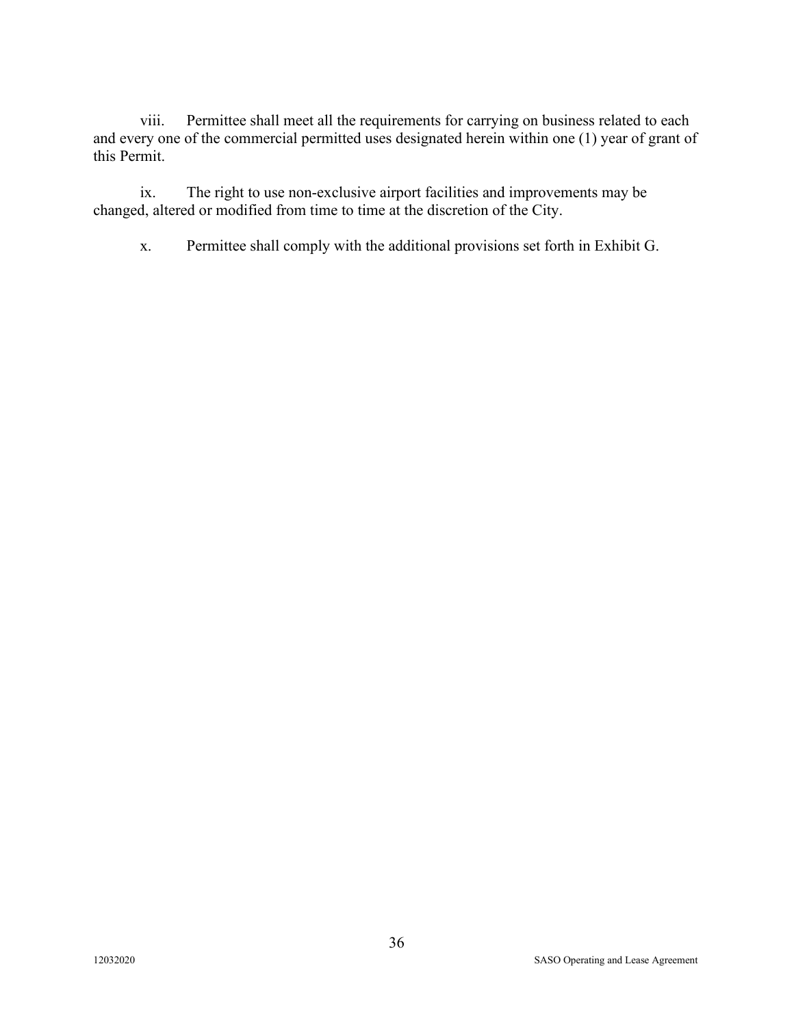viii. Permittee shall meet all the requirements for carrying on business related to each and every one of the commercial permitted uses designated herein within one (1) year of grant of this Permit.

ix. The right to use non-exclusive airport facilities and improvements may be changed, altered or modified from time to time at the discretion of the City.

x. Permittee shall comply with the additional provisions set forth in Exhibit G.